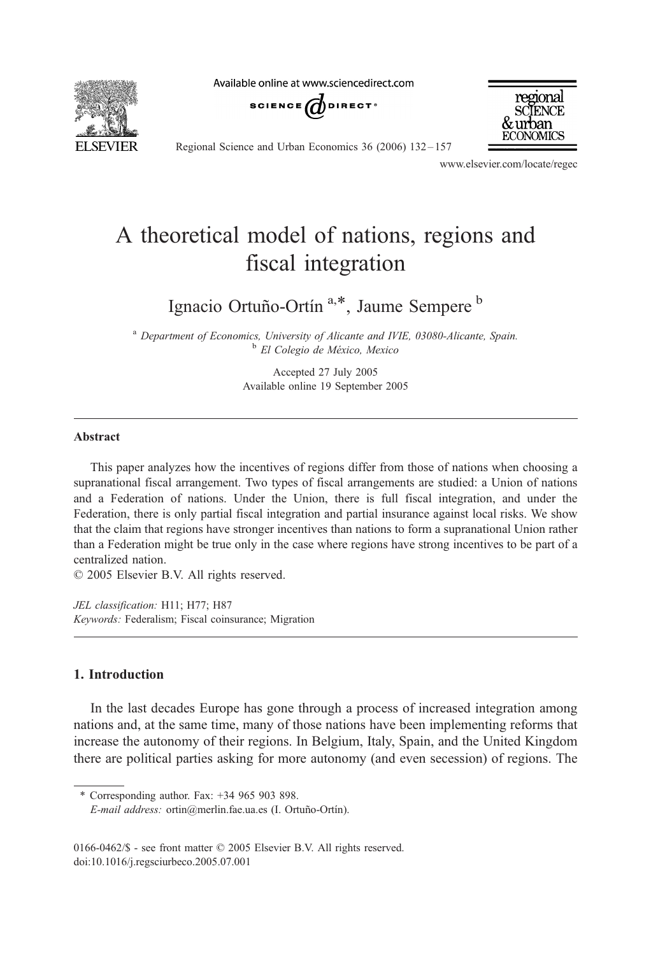**FI SEVIER** 

Available online at www.sciencedirect.com





Regional Science and Urban Economics 36 (2006) 132-157

www.elsevier.com/locate/regec

# A theoretical model of nations, regions and fiscal integration

Ignacio Ortuño-Ortín<sup>a,\*</sup>, Jaume Sempere b

<sup>a</sup> Department of Economics, University of Alicante and IVIE, 03080-Alicante, Spain. <sup>b</sup> El Colegio de México, Mexico

> Accepted 27 July 2005 Available online 19 September 2005

#### Abstract

This paper analyzes how the incentives of regions differ from those of nations when choosing a supranational fiscal arrangement. Two types of fiscal arrangements are studied: a Union of nations and a Federation of nations. Under the Union, there is full fiscal integration, and under the Federation, there is only partial fiscal integration and partial insurance against local risks. We show that the claim that regions have stronger incentives than nations to form a supranational Union rather than a Federation might be true only in the case where regions have strong incentives to be part of a centralized nation.

 $© 2005 Elsevier B.V. All rights reserved.$ 

JEL classification: H11; H77; H87 Keywords: Federalism; Fiscal coinsurance; Migration

# 1. Introduction

In the last decades Europe has gone through a process of increased integration among nations and, at the same time, many of those nations have been implementing reforms that increase the autonomy of their regions. In Belgium, Italy, Spain, and the United Kingdom there are political parties asking for more autonomy (and even secession) of regions. The

<sup>\*</sup> Corresponding author. Fax: +34 965 903 898.

E-mail address: ortin@merlin.fae.ua.es (I. Ortuño-Ortín).

<sup>0166-0462/\$ -</sup> see front matter © 2005 Elsevier B.V. All rights reserved. doi:10.1016/j.regsciurbeco.2005.07.001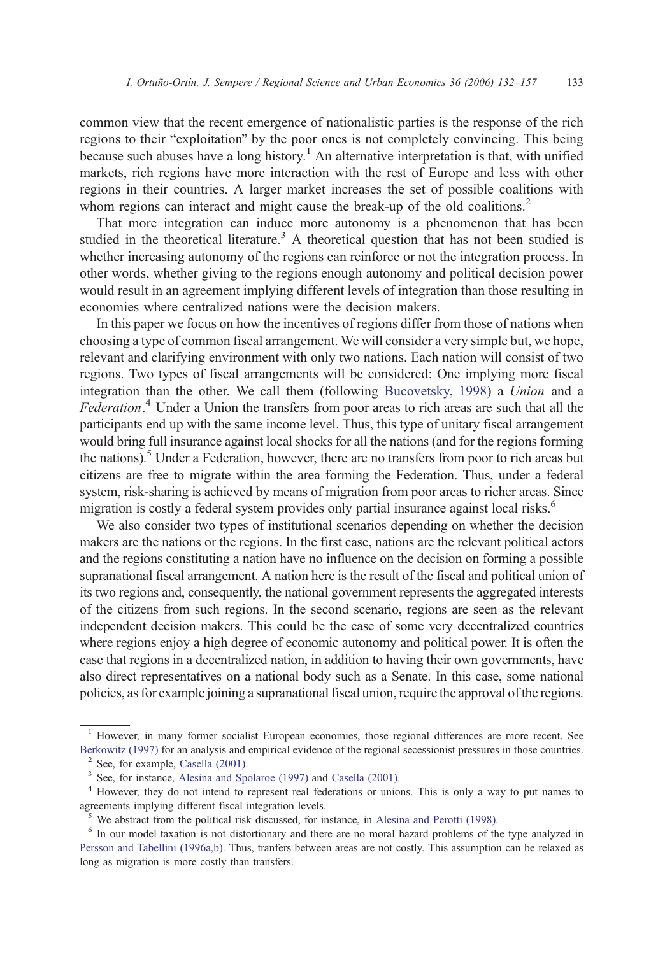common view that the recent emergence of nationalistic parties is the response of the rich regions to their "exploitation" by the poor ones is not completely convincing. This being because such abuses have a long history.<sup>1</sup> An alternative interpretation is that, with unified markets, rich regions have more interaction with the rest of Europe and less with other regions in their countries. A larger market increases the set of possible coalitions with whom regions can interact and might cause the break-up of the old coalitions.<sup>2</sup>

That more integration can induce more autonomy is a phenomenon that has been studied in the theoretical literature.<sup>3</sup> A theoretical question that has not been studied is whether increasing autonomy of the regions can reinforce or not the integration process. In other words, whether giving to the regions enough autonomy and political decision power would result in an agreement implying different levels of integration than those resulting in economies where centralized nations were the decision makers.

In this paper we focus on how the incentives of regions differ from those of nations when choosing a type of common fiscal arrangement. We will consider a very simple but, we hope, relevant and clarifying environment with only two nations. Each nation will consist of two regions. Two types of fiscal arrangements will be considered: One implying more fiscal integration than the other. We call them (following [Bucovetsky, 1998\)](#page-25-0) a Union and a Federation.<sup>4</sup> Under a Union the transfers from poor areas to rich areas are such that all the participants end up with the same income level. Thus, this type of unitary fiscal arrangement would bring full insurance against local shocks for all the nations (and for the regions forming the nations).<sup>5</sup> Under a Federation, however, there are no transfers from poor to rich areas but citizens are free to migrate within the area forming the Federation. Thus, under a federal system, risk-sharing is achieved by means of migration from poor areas to richer areas. Since migration is costly a federal system provides only partial insurance against local risks.<sup>6</sup>

We also consider two types of institutional scenarios depending on whether the decision makers are the nations or the regions. In the first case, nations are the relevant political actors and the regions constituting a nation have no influence on the decision on forming a possible supranational fiscal arrangement. A nation here is the result of the fiscal and political union of its two regions and, consequently, the national government represents the aggregated interests of the citizens from such regions. In the second scenario, regions are seen as the relevant independent decision makers. This could be the case of some very decentralized countries where regions enjoy a high degree of economic autonomy and political power. It is often the case that regions in a decentralized nation, in addition to having their own governments, have also direct representatives on a national body such as a Senate. In this case, some national policies, as for example joining a supranational fiscal union, require the approval of the regions.

<sup>&</sup>lt;sup>1</sup> However, in many former socialist European economies, those regional differences are more recent. See [Berkowitz \(1997\)](#page-25-0) for an analysis and empirical evidence of the regional secessionist pressures in those countries.

<sup>&</sup>lt;sup>2</sup> See, for example, [Casella \(2001\).](#page-25-0) <sup>3</sup> See, for instance, [Alesina and Spolaroe \(1997\)](#page-25-0) and Casella (2001).

<sup>4</sup> However, they do not intend to represent real federations or unions. This is only a way to put names to agreements implying different fiscal integration levels.

<sup>5</sup> We abstract from the political risk discussed, for instance, in [Alesina and Perotti \(1998\).](#page-24-0)

<sup>6</sup> In our model taxation is not distortionary and there are no moral hazard problems of the type analyzed in [Persson and Tabellini \(1996a,b\).](#page-25-0) Thus, tranfers between areas are not costly. This assumption can be relaxed as long as migration is more costly than transfers.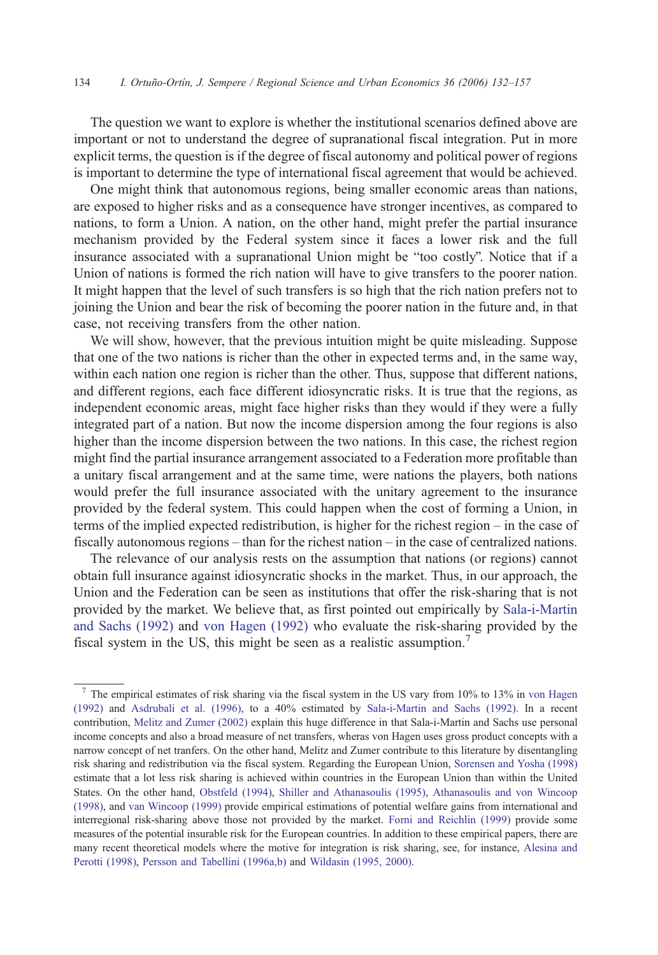The question we want to explore is whether the institutional scenarios defined above are important or not to understand the degree of supranational fiscal integration. Put in more explicit terms, the question is if the degree of fiscal autonomy and political power of regions is important to determine the type of international fiscal agreement that would be achieved.

One might think that autonomous regions, being smaller economic areas than nations, are exposed to higher risks and as a consequence have stronger incentives, as compared to nations, to form a Union. A nation, on the other hand, might prefer the partial insurance mechanism provided by the Federal system since it faces a lower risk and the full insurance associated with a supranational Union might be "too costly". Notice that if a Union of nations is formed the rich nation will have to give transfers to the poorer nation. It might happen that the level of such transfers is so high that the rich nation prefers not to joining the Union and bear the risk of becoming the poorer nation in the future and, in that case, not receiving transfers from the other nation.

We will show, however, that the previous intuition might be quite misleading. Suppose that one of the two nations is richer than the other in expected terms and, in the same way, within each nation one region is richer than the other. Thus, suppose that different nations, and different regions, each face different idiosyncratic risks. It is true that the regions, as independent economic areas, might face higher risks than they would if they were a fully integrated part of a nation. But now the income dispersion among the four regions is also higher than the income dispersion between the two nations. In this case, the richest region might find the partial insurance arrangement associated to a Federation more profitable than a unitary fiscal arrangement and at the same time, were nations the players, both nations would prefer the full insurance associated with the unitary agreement to the insurance provided by the federal system. This could happen when the cost of forming a Union, in terms of the implied expected redistribution, is higher for the richest region – in the case of fiscally autonomous regions – than for the richest nation – in the case of centralized nations.

The relevance of our analysis rests on the assumption that nations (or regions) cannot obtain full insurance against idiosyncratic shocks in the market. Thus, in our approach, the Union and the Federation can be seen as institutions that offer the risk-sharing that is not provided by the market. We believe that, as first pointed out empirically by [Sala-i-Martin](#page-25-0) and Sachs (1992) and [von Hagen \(1992\)](#page-25-0) who evaluate the risk-sharing provided by the fiscal system in the US, this might be seen as a realistic assumption.<sup>7</sup>

 $7$  The empirical estimates of risk sharing via the fiscal system in the US vary from 10% to 13% in [von Hagen](#page-25-0) (1992) and [Asdrubali et al. \(1996\),](#page-25-0) to a 40% estimated by [Sala-i-Martin and Sachs \(1992\).](#page-25-0) In a recent contribution, [Melitz and Zumer \(2002\)](#page-25-0) explain this huge difference in that Sala-i-Martin and Sachs use personal income concepts and also a broad measure of net transfers, wheras von Hagen uses gross product concepts with a narrow concept of net tranfers. On the other hand, Melitz and Zumer contribute to this literature by disentangling risk sharing and redistribution via the fiscal system. Regarding the European Union, [Sorensen and Yosha \(1998\)](#page-25-0) estimate that a lot less risk sharing is achieved within countries in the European Union than within the United States. On the other hand, [Obstfeld \(1994\),](#page-25-0) [Shiller and Athanasoulis \(1995\),](#page-25-0) [Athanasoulis and von Wincoop](#page-25-0) (1998), and [van Wincoop \(1999\)](#page-25-0) provide empirical estimations of potential welfare gains from international and interregional risk-sharing above those not provided by the market. [Forni and Reichlin \(1999\)](#page-25-0) provide some measures of the potential insurable risk for the European countries. In addition to these empirical papers, there are many recent theoretical models where the motive for integration is risk sharing, see, for instance, [Alesina and](#page-24-0) Perotti (1998), [Persson and Tabellini \(1996a,b\)](#page-25-0) and [Wildasin \(1995, 2000\).](#page-25-0)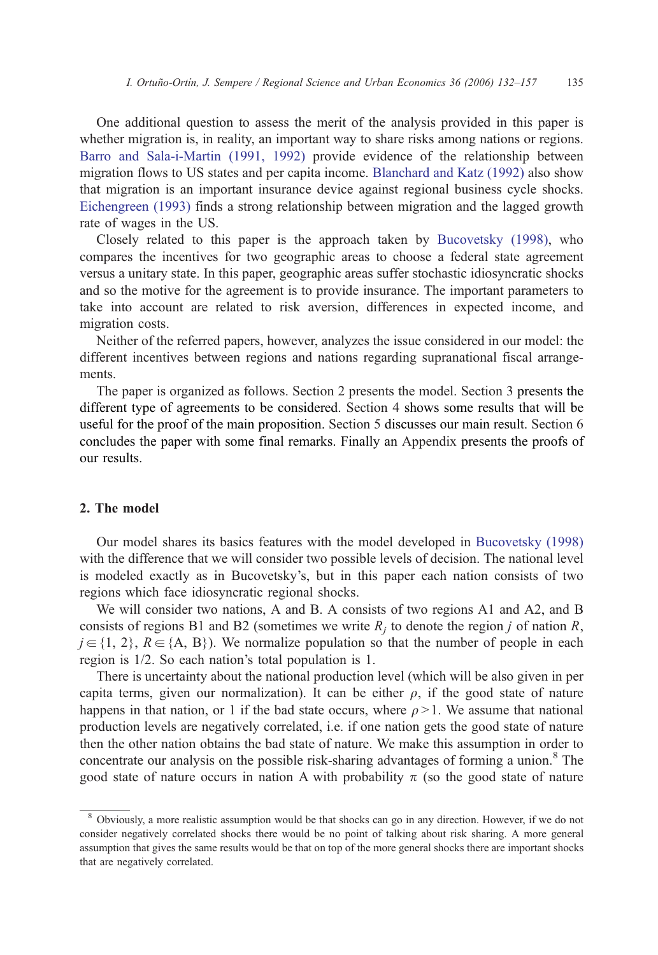One additional question to assess the merit of the analysis provided in this paper is whether migration is, in reality, an important way to share risks among nations or regions. [Barro and Sala-i-Martin \(1991, 1992\)](#page-25-0) provide evidence of the relationship between migration flows to US states and per capita income. [Blanchard and Katz \(1992\)](#page-25-0) also show that migration is an important insurance device against regional business cycle shocks. [Eichengreen \(1993\)](#page-25-0) finds a strong relationship between migration and the lagged growth rate of wages in the US.

Closely related to this paper is the approach taken by [Bucovetsky \(1998\),](#page-25-0) who compares the incentives for two geographic areas to choose a federal state agreement versus a unitary state. In this paper, geographic areas suffer stochastic idiosyncratic shocks and so the motive for the agreement is to provide insurance. The important parameters to take into account are related to risk aversion, differences in expected income, and migration costs.

Neither of the referred papers, however, analyzes the issue considered in our model: the different incentives between regions and nations regarding supranational fiscal arrangements.

The paper is organized as follows. Section 2 presents the model. Section 3 presents the different type of agreements to be considered. Section 4 shows some results that will be useful for the proof of the main proposition. Section 5 discusses our main result. Section 6 concludes the paper with some final remarks. Finally an Appendix presents the proofs of our results.

## 2. The model

Our model shares its basics features with the model developed in [Bucovetsky \(1998\)](#page-25-0) with the difference that we will consider two possible levels of decision. The national level is modeled exactly as in Bucovetsky's, but in this paper each nation consists of two regions which face idiosyncratic regional shocks.

We will consider two nations, A and B. A consists of two regions A1 and A2, and B consists of regions B1 and B2 (sometimes we write  $R_i$  to denote the region j of nation  $R$ ,  $j \in \{1, 2\}, R \in \{A, B\}$ ). We normalize population so that the number of people in each region is 1/2. So each nation's total population is 1.

There is uncertainty about the national production level (which will be also given in per capita terms, given our normalization). It can be either  $\rho$ , if the good state of nature happens in that nation, or 1 if the bad state occurs, where  $\rho > 1$ . We assume that national production levels are negatively correlated, i.e. if one nation gets the good state of nature then the other nation obtains the bad state of nature. We make this assumption in order to concentrate our analysis on the possible risk-sharing advantages of forming a union.<sup>8</sup> The good state of nature occurs in nation A with probability  $\pi$  (so the good state of nature

<sup>8</sup> Obviously, a more realistic assumption would be that shocks can go in any direction. However, if we do not consider negatively correlated shocks there would be no point of talking about risk sharing. A more general assumption that gives the same results would be that on top of the more general shocks there are important shocks that are negatively correlated.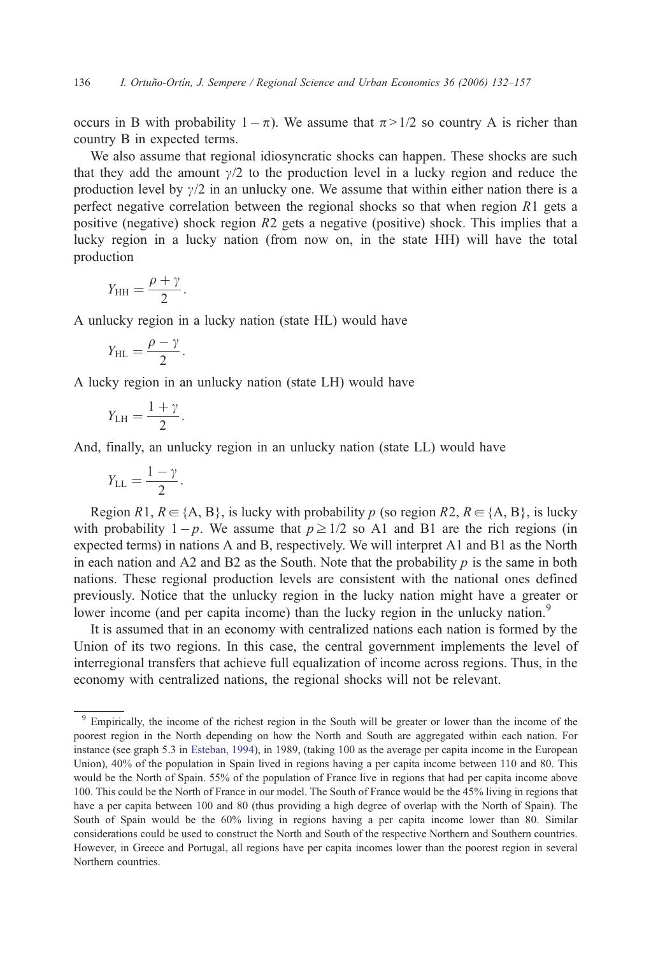occurs in B with probability  $1-\pi$ ). We assume that  $\pi > 1/2$  so country A is richer than country B in expected terms.

We also assume that regional idiosyncratic shocks can happen. These shocks are such that they add the amount  $\gamma/2$  to the production level in a lucky region and reduce the production level by  $\gamma/2$  in an unlucky one. We assume that within either nation there is a perfect negative correlation between the regional shocks so that when region R1 gets a positive (negative) shock region R2 gets a negative (positive) shock. This implies that a lucky region in a lucky nation (from now on, in the state HH) will have the total production

$$
Y_{\rm HH} = \frac{\rho + \gamma}{2}.
$$

A unlucky region in a lucky nation (state HL) would have

$$
Y_{\rm HL}=\frac{\rho-\gamma}{2}.
$$

A lucky region in an unlucky nation (state LH) would have

$$
Y_{\rm LH} = \frac{1+\gamma}{2}.
$$

And, finally, an unlucky region in an unlucky nation (state LL) would have

$$
Y_{\rm LL} = \frac{1-\gamma}{2}.
$$

Region  $R1, R \in \{A, B\}$ , is lucky with probability p (so region  $R2, R \in \{A, B\}$ , is lucky with probability  $1-p$ . We assume that  $p \ge 1/2$  so A1 and B1 are the rich regions (in expected terms) in nations A and B, respectively. We will interpret A1 and B1 as the North in each nation and A2 and B2 as the South. Note that the probability  $p$  is the same in both nations. These regional production levels are consistent with the national ones defined previously. Notice that the unlucky region in the lucky nation might have a greater or lower income (and per capita income) than the lucky region in the unlucky nation.<sup>9</sup>

It is assumed that in an economy with centralized nations each nation is formed by the Union of its two regions. In this case, the central government implements the level of interregional transfers that achieve full equalization of income across regions. Thus, in the economy with centralized nations, the regional shocks will not be relevant.

<sup>&</sup>lt;sup>9</sup> Empirically, the income of the richest region in the South will be greater or lower than the income of the poorest region in the North depending on how the North and South are aggregated within each nation. For instance (see graph 5.3 in [Esteban, 1994\)](#page-25-0), in 1989, (taking 100 as the average per capita income in the European Union), 40% of the population in Spain lived in regions having a per capita income between 110 and 80. This would be the North of Spain. 55% of the population of France live in regions that had per capita income above 100. This could be the North of France in our model. The South of France would be the 45% living in regions that have a per capita between 100 and 80 (thus providing a high degree of overlap with the North of Spain). The South of Spain would be the 60% living in regions having a per capita income lower than 80. Similar considerations could be used to construct the North and South of the respective Northern and Southern countries. However, in Greece and Portugal, all regions have per capita incomes lower than the poorest region in several Northern countries.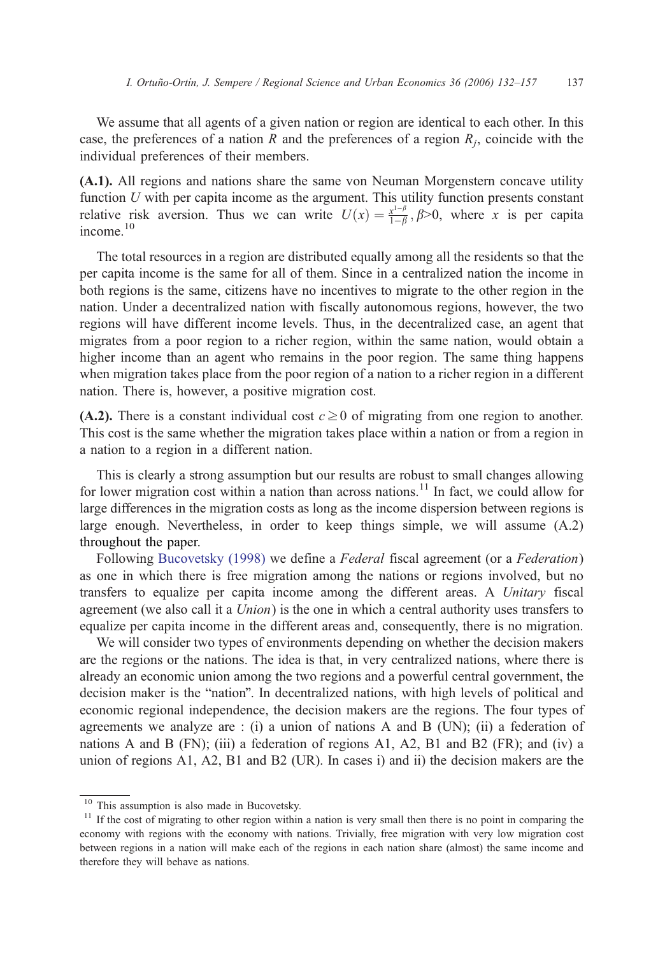We assume that all agents of a given nation or region are identical to each other. In this case, the preferences of a nation R and the preferences of a region  $R_i$ , coincide with the individual preferences of their members.

(A.1). All regions and nations share the same von Neuman Morgenstern concave utility function  $U$  with per capita income as the argument. This utility function presents constant relative risk aversion. Thus we can write  $U(x) = \frac{x^{1-\beta}}{1-\beta}, \beta > 0$ , where x is per capita income.<sup>10</sup>

The total resources in a region are distributed equally among all the residents so that the per capita income is the same for all of them. Since in a centralized nation the income in both regions is the same, citizens have no incentives to migrate to the other region in the nation. Under a decentralized nation with fiscally autonomous regions, however, the two regions will have different income levels. Thus, in the decentralized case, an agent that migrates from a poor region to a richer region, within the same nation, would obtain a higher income than an agent who remains in the poor region. The same thing happens when migration takes place from the poor region of a nation to a richer region in a different nation. There is, however, a positive migration cost.

(A.2). There is a constant individual cost  $c \ge 0$  of migrating from one region to another. This cost is the same whether the migration takes place within a nation or from a region in a nation to a region in a different nation.

This is clearly a strong assumption but our results are robust to small changes allowing for lower migration cost within a nation than across nations.<sup>11</sup> In fact, we could allow for large differences in the migration costs as long as the income dispersion between regions is large enough. Nevertheless, in order to keep things simple, we will assume (A.2) throughout the paper.

Following [Bucovetsky \(1998\)](#page-25-0) we define a *Federal* fiscal agreement (or a *Federation*) as one in which there is free migration among the nations or regions involved, but no transfers to equalize per capita income among the different areas. A Unitary fiscal agreement (we also call it a *Union*) is the one in which a central authority uses transfers to equalize per capita income in the different areas and, consequently, there is no migration.

We will consider two types of environments depending on whether the decision makers are the regions or the nations. The idea is that, in very centralized nations, where there is already an economic union among the two regions and a powerful central government, the decision maker is the "nation". In decentralized nations, with high levels of political and economic regional independence, the decision makers are the regions. The four types of agreements we analyze are  $: (i)$  a union of nations A and B (UN); (ii) a federation of nations A and B (FN); (iii) a federation of regions A1, A2, B1 and B2 (FR); and (iv) a union of regions A1, A2, B1 and B2 (UR). In cases i) and ii) the decision makers are the

<sup>&</sup>lt;sup>10</sup> This assumption is also made in Bucovetsky.<br><sup>11</sup> If the cost of migrating to other region within a nation is very small then there is no point in comparing the economy with regions with the economy with nations. Trivially, free migration with very low migration cost between regions in a nation will make each of the regions in each nation share (almost) the same income and therefore they will behave as nations.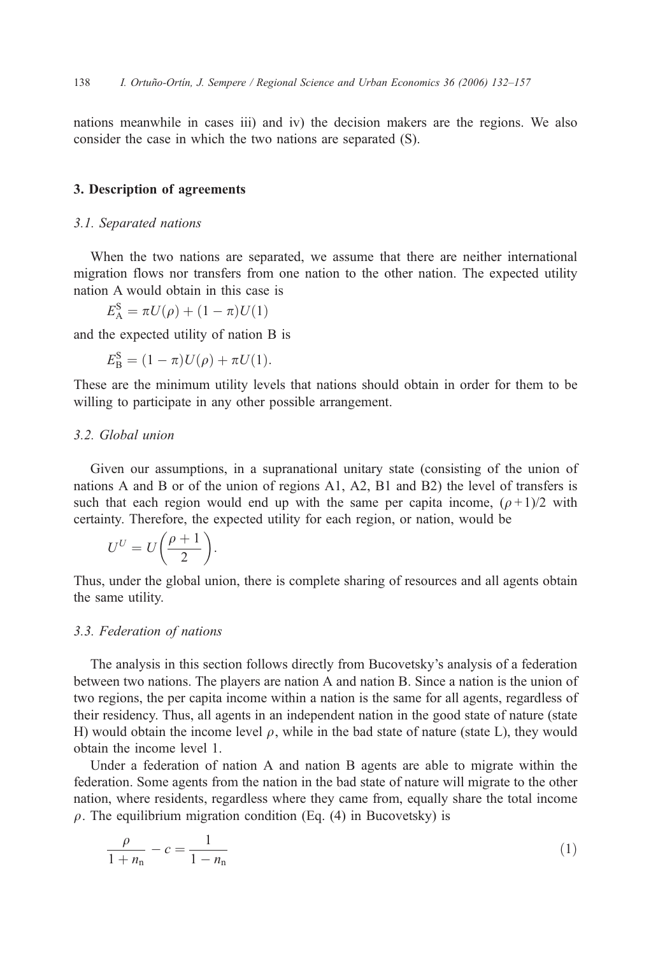nations meanwhile in cases iii) and iv) the decision makers are the regions. We also consider the case in which the two nations are separated (S).

### 3. Description of agreements

#### 3.1. Separated nations

When the two nations are separated, we assume that there are neither international migration flows nor transfers from one nation to the other nation. The expected utility nation A would obtain in this case is

$$
E_{\rm A}^{\rm S} = \pi U(\rho) + (1 - \pi)U(1)
$$

and the expected utility of nation B is

$$
E_{\rm B}^{\rm S} = (1 - \pi)U(\rho) + \pi U(1).
$$

These are the minimum utility levels that nations should obtain in order for them to be willing to participate in any other possible arrangement.

## 3.2. Global union

Given our assumptions, in a supranational unitary state (consisting of the union of nations A and B or of the union of regions A1, A2, B1 and B2) the level of transfers is such that each region would end up with the same per capita income,  $(\rho + 1)/2$  with certainty. Therefore, the expected utility for each region, or nation, would be

$$
U^U = U\bigg(\frac{\rho+1}{2}\bigg).
$$

Thus, under the global union, there is complete sharing of resources and all agents obtain the same utility.

## 3.3. Federation of nations

The analysis in this section follows directly from Bucovetsky's analysis of a federation between two nations. The players are nation A and nation B. Since a nation is the union of two regions, the per capita income within a nation is the same for all agents, regardless of their residency. Thus, all agents in an independent nation in the good state of nature (state H) would obtain the income level  $\rho$ , while in the bad state of nature (state L), they would obtain the income level 1.

Under a federation of nation A and nation B agents are able to migrate within the federation. Some agents from the nation in the bad state of nature will migrate to the other nation, where residents, regardless where they came from, equally share the total income  $\rho$ . The equilibrium migration condition (Eq. (4) in Bucovetsky) is

$$
\frac{\rho}{1+n_{\rm n}} - c = \frac{1}{1-n_{\rm n}}\tag{1}
$$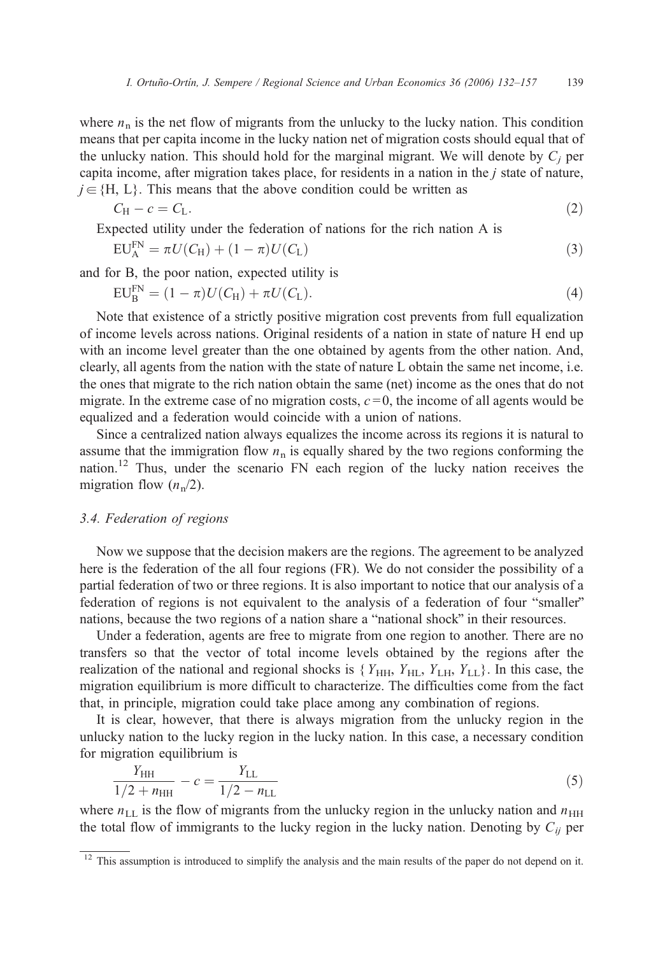where  $n_n$  is the net flow of migrants from the unlucky to the lucky nation. This condition means that per capita income in the lucky nation net of migration costs should equal that of the unlucky nation. This should hold for the marginal migrant. We will denote by  $C_i$  per capita income, after migration takes place, for residents in a nation in the  $j$  state of nature,  $j \in \{H, L\}$ . This means that the above condition could be written as

$$
C_{\rm H} - c = C_{\rm L}.\tag{2}
$$

Expected utility under the federation of nations for the rich nation A is

$$
EU_A^{FN} = \pi U(C_H) + (1 - \pi)U(C_L)
$$
\n(3)

and for B, the poor nation, expected utility is

$$
EU_B^{FN} = (1 - \pi)U(C_H) + \pi U(C_L).
$$
\n(4)

Note that existence of a strictly positive migration cost prevents from full equalization of income levels across nations. Original residents of a nation in state of nature H end up with an income level greater than the one obtained by agents from the other nation. And, clearly, all agents from the nation with the state of nature L obtain the same net income, i.e. the ones that migrate to the rich nation obtain the same (net) income as the ones that do not migrate. In the extreme case of no migration costs,  $c = 0$ , the income of all agents would be equalized and a federation would coincide with a union of nations.

Since a centralized nation always equalizes the income across its regions it is natural to assume that the immigration flow  $n_n$  is equally shared by the two regions conforming the nation.<sup>12</sup> Thus, under the scenario FN each region of the lucky nation receives the migration flow  $(n_n/2)$ .

### 3.4. Federation of regions

Now we suppose that the decision makers are the regions. The agreement to be analyzed here is the federation of the all four regions (FR). We do not consider the possibility of a partial federation of two or three regions. It is also important to notice that our analysis of a federation of regions is not equivalent to the analysis of a federation of four "smaller" nations, because the two regions of a nation share a "national shock" in their resources.

Under a federation, agents are free to migrate from one region to another. There are no transfers so that the vector of total income levels obtained by the regions after the realization of the national and regional shocks is  $\{Y_{HH}, Y_{HH}, Y_{LH}, Y_{LH}\}\)$ . In this case, the migration equilibrium is more difficult to characterize. The difficulties come from the fact that, in principle, migration could take place among any combination of regions.

It is clear, however, that there is always migration from the unlucky region in the unlucky nation to the lucky region in the lucky nation. In this case, a necessary condition for migration equilibrium is

$$
\frac{Y_{\text{HH}}}{1/2 + n_{\text{HH}}} - c = \frac{Y_{\text{LL}}}{1/2 - n_{\text{LL}}} \tag{5}
$$

where  $n_{\text{LL}}$  is the flow of migrants from the unlucky region in the unlucky nation and  $n_{\text{HH}}$ the total flow of immigrants to the lucky region in the lucky nation. Denoting by  $C_{ii}$  per

<sup>&</sup>lt;sup>12</sup> This assumption is introduced to simplify the analysis and the main results of the paper do not depend on it.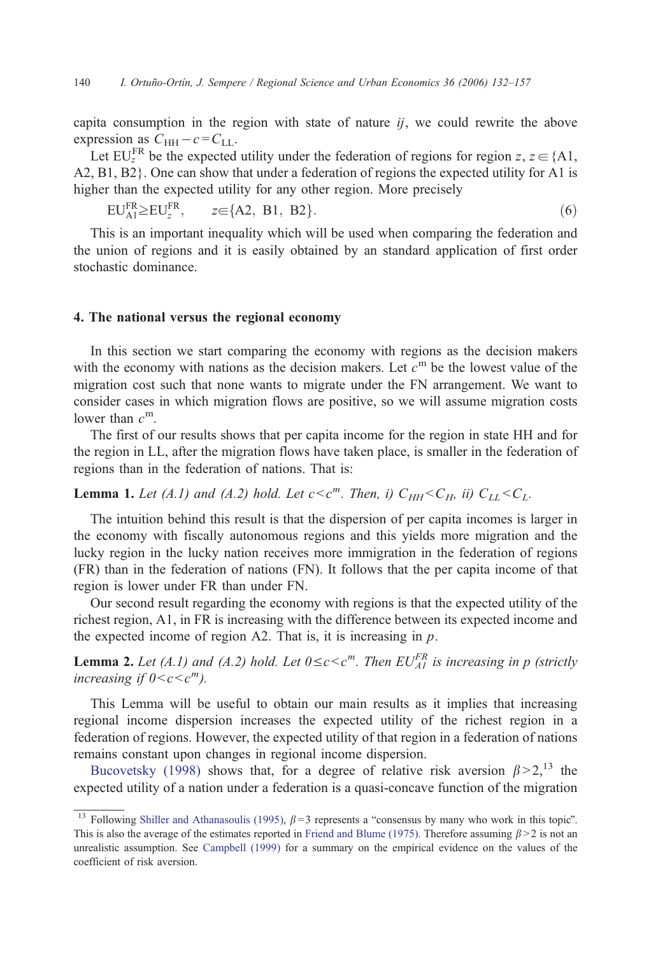capita consumption in the region with state of nature  $i<sub>j</sub>$ , we could rewrite the above expression as  $C_{HH} - c = C_{LL}$ .

Let EU<sub>z</sub><sup>FR</sup> be the expected utility under the federation of regions for region  $z, z \in \{A1, A2\}$ A2, B1, B2}. One can show that under a federation of regions the expected utility for A1 is higher than the expected utility for any other region. More precisely

 $EU_{A1}^{FR} \ge EU_{z}^{FR}, \t z \in \{A2, B1, B2\}.$  (6)

This is an important inequality which will be used when comparing the federation and the union of regions and it is easily obtained by an standard application of first order stochastic dominance.

#### 4. The national versus the regional economy

In this section we start comparing the economy with regions as the decision makers with the economy with nations as the decision makers. Let  $c<sup>m</sup>$  be the lowest value of the migration cost such that none wants to migrate under the FN arrangement. We want to consider cases in which migration flows are positive, so we will assume migration costs lower than  $c^m$ .

The first of our results shows that per capita income for the region in state HH and for the region in LL, after the migration flows have taken place, is smaller in the federation of regions than in the federation of nations. That is:

**Lemma 1.** Let (A.1) and (A.2) hold. Let  $c < c<sup>m</sup>$ . Then, i)  $C_{HH} < C_H$ , ii)  $C_{LI} < C_I$ .

The intuition behind this result is that the dispersion of per capita incomes is larger in the economy with fiscally autonomous regions and this yields more migration and the lucky region in the lucky nation receives more immigration in the federation of regions (FR) than in the federation of nations (FN). It follows that the per capita income of that region is lower under FR than under FN.

Our second result regarding the economy with regions is that the expected utility of the richest region, A1, in FR is increasing with the difference between its expected income and the expected income of region A2. That is, it is increasing in  $p$ .

**Lemma 2.** Let (A.1) and (A.2) hold. Let  $0 \le c \le c^m$ . Then  $EU_{A1}^{FR}$  is increasing in p (strictly increasing if  $0 < c < c<sup>m</sup>$ ).

This Lemma will be useful to obtain our main results as it implies that increasing regional income dispersion increases the expected utility of the richest region in a federation of regions. However, the expected utility of that region in a federation of nations remains constant upon changes in regional income dispersion.

[Bucovetsky \(1998\)](#page-25-0) shows that, for a degree of relative risk aversion  $\beta > 2$ , <sup>13</sup> the expected utility of a nation under a federation is a quasi-concave function of the migration

<sup>&</sup>lt;sup>13</sup> Following [Shiller and Athanasoulis \(1995\),](#page-25-0)  $\beta = 3$  represents a "consensus by many who work in this topic". This is also the average of the estimates reported in [Friend and Blume \(1975\).](#page-25-0) Therefore assuming  $\beta$  > 2 is not an unrealistic assumption. See [Campbell \(1999\)](#page-25-0) for a summary on the empirical evidence on the values of the coefficient of risk aversion.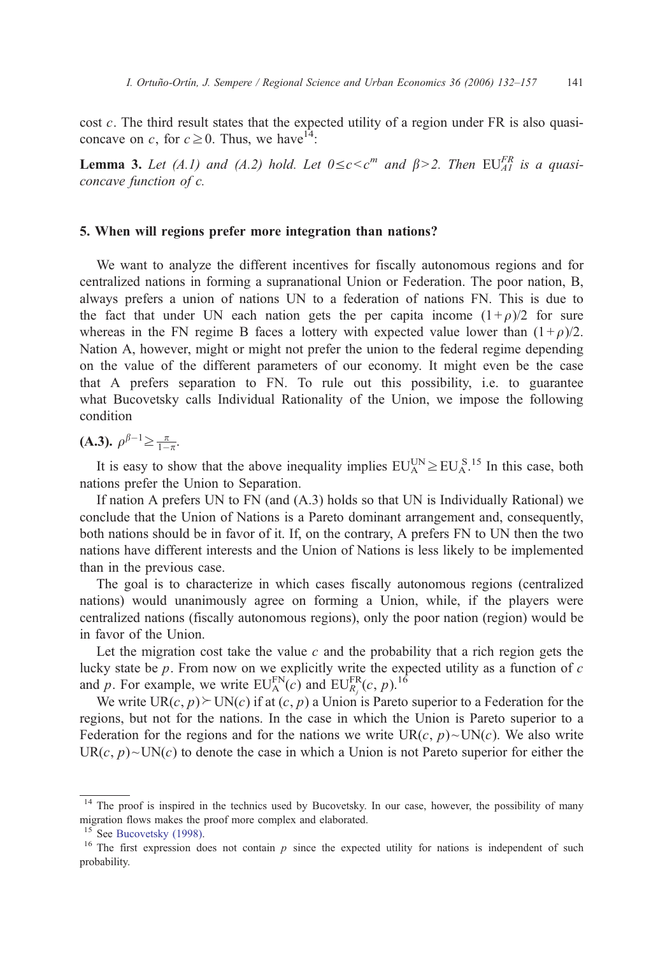cost c. The third result states that the expected utility of a region under FR is also quasiconcave on c, for  $c \ge 0$ . Thus, we have <sup>14</sup>:

**Lemma 3.** Let (A.1) and (A.2) hold. Let  $0 \le c \le c^m$  and  $\beta > 2$ . Then  $EU_{A1}^{FR}$  is a quasiconcave function of c.

#### 5. When will regions prefer more integration than nations?

We want to analyze the different incentives for fiscally autonomous regions and for centralized nations in forming a supranational Union or Federation. The poor nation, B, always prefers a union of nations UN to a federation of nations FN. This is due to the fact that under UN each nation gets the per capita income  $(1+\rho)/2$  for sure whereas in the FN regime B faces a lottery with expected value lower than  $(1+\rho)/2$ . Nation A, however, might or might not prefer the union to the federal regime depending on the value of the different parameters of our economy. It might even be the case that A prefers separation to FN. To rule out this possibility, i.e. to guarantee what Bucovetsky calls Individual Rationality of the Union, we impose the following condition

(A.3).  $\rho^{\beta-1} \geq \frac{\pi}{1-\pi}$ .

It is easy to show that the above inequality implies  $EU_A^{UN} \geq EU_A^{S, 15}$  In this case, both nations prefer the Union to Separation.

If nation A prefers UN to FN (and (A.3) holds so that UN is Individually Rational) we conclude that the Union of Nations is a Pareto dominant arrangement and, consequently, both nations should be in favor of it. If, on the contrary, A prefers FN to UN then the two nations have different interests and the Union of Nations is less likely to be implemented than in the previous case.

The goal is to characterize in which cases fiscally autonomous regions (centralized nations) would unanimously agree on forming a Union, while, if the players were centralized nations (fiscally autonomous regions), only the poor nation (region) would be in favor of the Union.

Let the migration cost take the value  $c$  and the probability that a rich region gets the lucky state be  $p$ . From now on we explicitly write the expected utility as a function of  $c$ and p. For example, we write  $EU_A^{FN}(c)$  and  $EU_{R_j}^{FR}(c, p)$ .<sup>16</sup>

We write  $UR(c, p) \succeq UN(c)$  if at  $(c, p)$  a Union is Pareto superior to a Federation for the regions, but not for the nations. In the case in which the Union is Pareto superior to a Federation for the regions and for the nations we write  $UR(c, p) \sim UN(c)$ . We also write  $UR(c, p) \sim UN(c)$  to denote the case in which a Union is not Pareto superior for either the

<sup>&</sup>lt;sup>14</sup> The proof is inspired in the technics used by Bucovetsky. In our case, however, the possibility of many migration flows makes the proof more complex and elaborated.

<sup>&</sup>lt;sup>15</sup> See [Bucovetsky \(1998\).](#page-25-0)

<sup>&</sup>lt;sup>16</sup> The first expression does not contain  $p$  since the expected utility for nations is independent of such probability.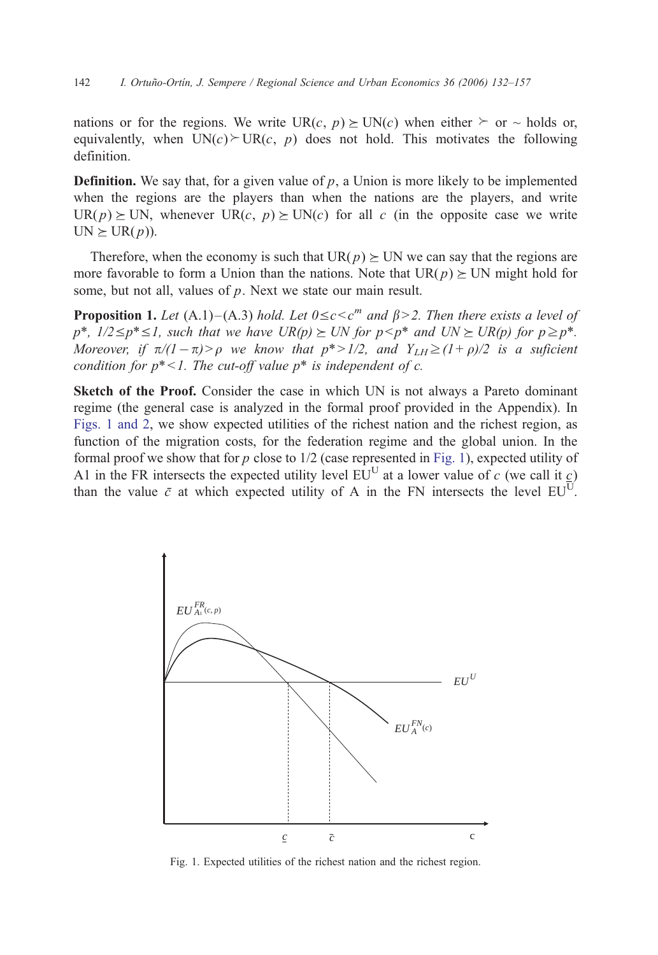<span id="page-10-0"></span>nations or for the regions. We write  $UR(c, p) \geq UN(c)$  when either  $\geq$  or  $\sim$  holds or, equivalently, when  $UN(c) \geq UR(c, p)$  does not hold. This motivates the following definition.

**Definition.** We say that, for a given value of  $p$ , a Union is more likely to be implemented when the regions are the players than when the nations are the players, and write  $UR(p) \ge UN$ , whenever  $UR(c, p) \ge UN(c)$  for all c (in the opposite case we write  $UN \succeq UR(p)$ ).

Therefore, when the economy is such that  $UR(p) \geq UN$  we can say that the regions are more favorable to form a Union than the nations. Note that  $UR(p) \geq UN$  might hold for some, but not all, values of p. Next we state our main result.

**Proposition 1.** Let (A.1)–(A.3) hold. Let  $0 \le c \le c^m$  and  $\beta > 2$ . Then there exists a level of  $p^*$ ,  $1/2 \le p^* \le 1$ , such that we have  $UR(p) \succeq UN$  for  $p < p^*$  and  $UN \succeq UR(p)$  for  $p \ge p^*$ . Moreover, if  $\pi/(1-\pi)$  we know that  $p^*$ >1/2, and  $Y_{LH} \ge (1+\rho)/2$  is a suficient condition for  $p^*$ <1. The cut-off value  $p^*$  is independent of c.

Sketch of the Proof. Consider the case in which UN is not always a Pareto dominant regime (the general case is analyzed in the formal proof provided in the Appendix). In Figs. 1 and 2, we show expected utilities of the richest nation and the richest region, as function of the migration costs, for the federation regime and the global union. In the formal proof we show that for  $p$  close to  $1/2$  (case represented in Fig. 1), expected utility of A1 in the FR intersects the expected utility level  $\overline{EU}^U$  at a lower value of c (we call it c) than the value  $\bar{c}$  at which expected utility of A in the FN intersects the level EU<sup>U</sup>.



Fig. 1. Expected utilities of the richest nation and the richest region.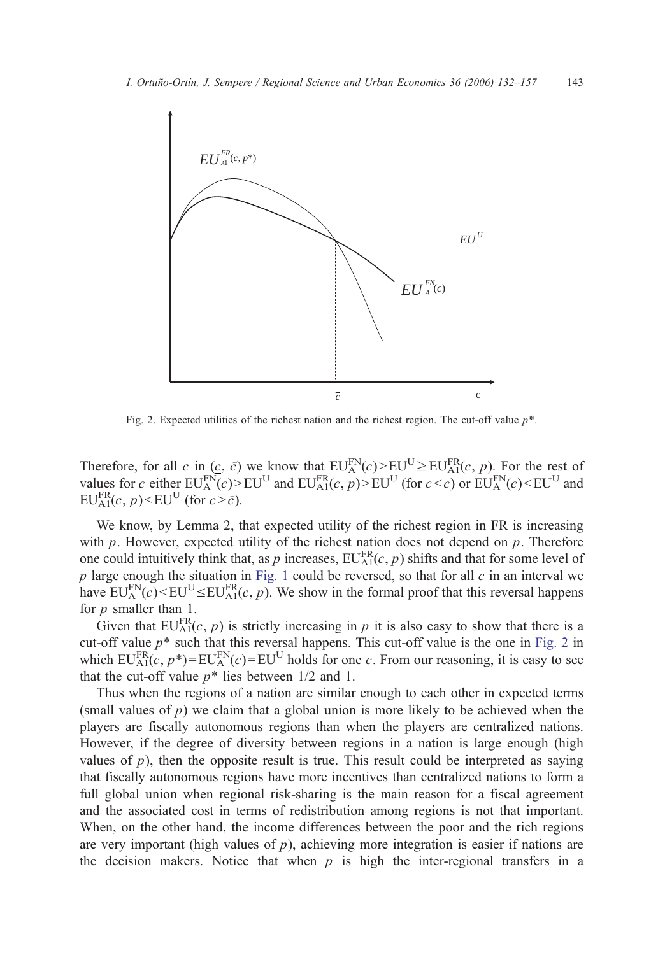<span id="page-11-0"></span>

Fig. 2. Expected utilities of the richest nation and the richest region. The cut-off value  $p^*$ .

Therefore, for all c in  $(c, \bar{c})$  we know that  $EU_A^{\text{FN}}(c) \geq EU_{\text{A1}}^{\text{FR}}(c, p)$ . For the rest of values for c either  $EU_A^{\text{FN}}(c)$  > EU<sup>U</sup> and  $EU_{\text{A1}}^{\text{FR}}(c, p)$  > EU<sup>U</sup> (for  $c <_c$ ) or EU<sub>A</sub><sup>EN</sup>(c) < EU<sup>U</sup> and  $EU_{A1}^{FR}(c, p) \leq EU^{U}$  (for  $c \geq \bar{c}$ ).

We know, by Lemma 2, that expected utility of the richest region in FR is increasing with  $p$ . However, expected utility of the richest nation does not depend on  $p$ . Therefore one could intuitively think that, as p increases,  $EU_{A1}^{FR}(c, p)$  shifts and that for some level of  $p$  large enough the situation in [Fig. 1](#page-10-0) could be reversed, so that for all  $c$  in an interval we have  $EU_A^{FN}(c) \leq EU_{A1}^{FR}(c, p)$ . We show in the formal proof that this reversal happens for  $p$  smaller than 1.

Given that  $EU_{A1}^{FR}(c, p)$  is strictly increasing in p it is also easy to show that there is a cut-off value  $p^*$  such that this reversal happens. This cut-off value is the one in Fig. 2 in which  $EU_{A1}^{FR}(c, p^*)= EU_{A}^{FN}(c)= EU^{U}$  holds for one c. From our reasoning, it is easy to see that the cut-off value  $p^*$  lies between 1/2 and 1.

Thus when the regions of a nation are similar enough to each other in expected terms (small values of  $p$ ) we claim that a global union is more likely to be achieved when the players are fiscally autonomous regions than when the players are centralized nations. However, if the degree of diversity between regions in a nation is large enough (high values of  $p$ ), then the opposite result is true. This result could be interpreted as saying that fiscally autonomous regions have more incentives than centralized nations to form a full global union when regional risk-sharing is the main reason for a fiscal agreement and the associated cost in terms of redistribution among regions is not that important. When, on the other hand, the income differences between the poor and the rich regions are very important (high values of  $p$ ), achieving more integration is easier if nations are the decision makers. Notice that when  $p$  is high the inter-regional transfers in a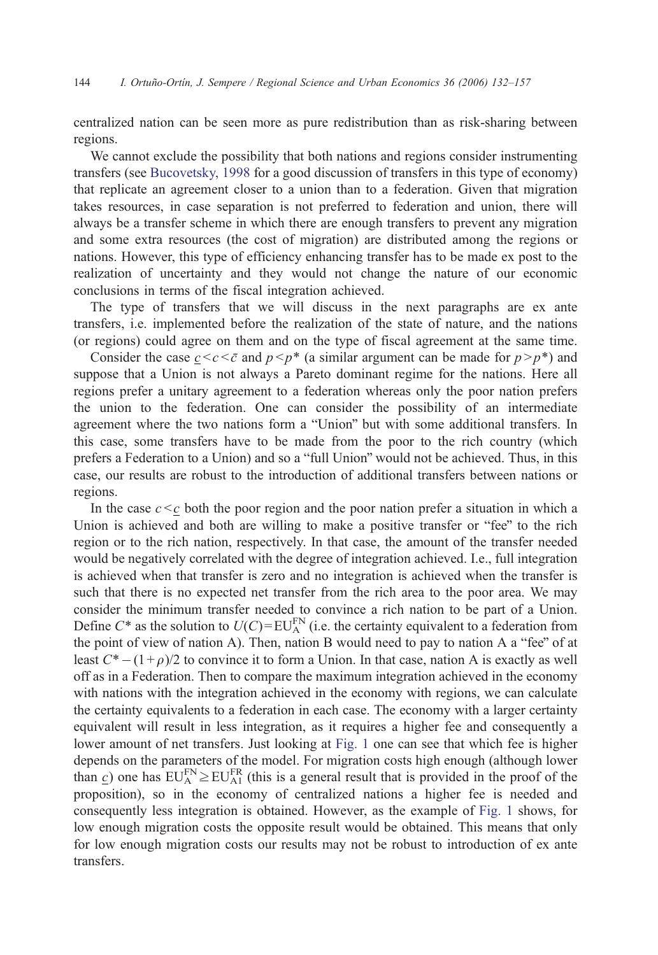centralized nation can be seen more as pure redistribution than as risk-sharing between regions.

We cannot exclude the possibility that both nations and regions consider instrumenting transfers (see [Bucovetsky, 1998](#page-25-0) for a good discussion of transfers in this type of economy) that replicate an agreement closer to a union than to a federation. Given that migration takes resources, in case separation is not preferred to federation and union, there will always be a transfer scheme in which there are enough transfers to prevent any migration and some extra resources (the cost of migration) are distributed among the regions or nations. However, this type of efficiency enhancing transfer has to be made ex post to the realization of uncertainty and they would not change the nature of our economic conclusions in terms of the fiscal integration achieved.

The type of transfers that we will discuss in the next paragraphs are ex ante transfers, i.e. implemented before the realization of the state of nature, and the nations (or regions) could agree on them and on the type of fiscal agreement at the same time.

Consider the case  $c \leq c \leq \bar{c}$  and  $p \leq p^*$  (a similar argument can be made for  $p > p^*$ ) and suppose that a Union is not always a Pareto dominant regime for the nations. Here all regions prefer a unitary agreement to a federation whereas only the poor nation prefers the union to the federation. One can consider the possibility of an intermediate agreement where the two nations form a "Union" but with some additional transfers. In this case, some transfers have to be made from the poor to the rich country (which prefers a Federation to a Union) and so a "full Union" would not be achieved. Thus, in this case, our results are robust to the introduction of additional transfers between nations or regions.

In the case  $c \leq c$  both the poor region and the poor nation prefer a situation in which a Union is achieved and both are willing to make a positive transfer or "fee" to the rich region or to the rich nation, respectively. In that case, the amount of the transfer needed would be negatively correlated with the degree of integration achieved. I.e., full integration is achieved when that transfer is zero and no integration is achieved when the transfer is such that there is no expected net transfer from the rich area to the poor area. We may consider the minimum transfer needed to convince a rich nation to be part of a Union. Define  $C^*$  as the solution to  $U(C) = EU_A^{FN}$  (i.e. the certainty equivalent to a federation from the point of view of nation A). Then, nation B would need to pay to nation A a "fee" of at least  $C^*(-(1 + \rho)/2$  to convince it to form a Union. In that case, nation A is exactly as well off as in a Federation. Then to compare the maximum integration achieved in the economy with nations with the integration achieved in the economy with regions, we can calculate the certainty equivalents to a federation in each case. The economy with a larger certainty equivalent will result in less integration, as it requires a higher fee and consequently a lower amount of net transfers. Just looking at [Fig. 1](#page-10-0) one can see that which fee is higher depends on the parameters of the model. For migration costs high enough (although lower than  $\frac{c}{c}$ ) one has  $EU_A^{FR} \ge EU_{A1}^{FR}$  (this is a general result that is provided in the proof of the proposition), so in the economy of centralized nations a higher fee is needed and consequently less integration is obtained. However, as the example of [Fig. 1](#page-10-0) shows, for low enough migration costs the opposite result would be obtained. This means that only for low enough migration costs our results may not be robust to introduction of ex ante transfers.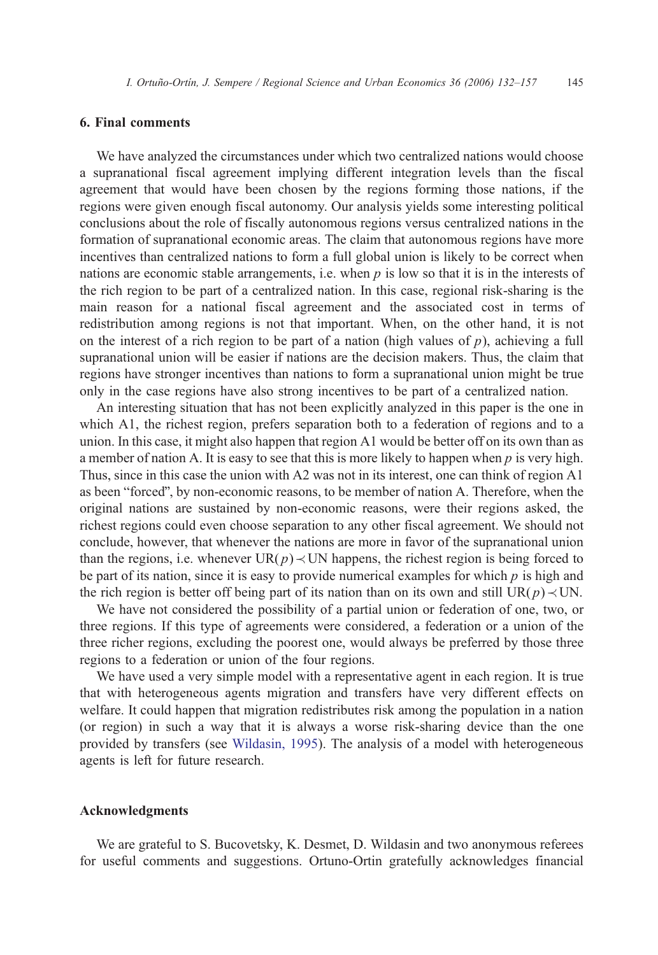### 6. Final comments

We have analyzed the circumstances under which two centralized nations would choose a supranational fiscal agreement implying different integration levels than the fiscal agreement that would have been chosen by the regions forming those nations, if the regions were given enough fiscal autonomy. Our analysis yields some interesting political conclusions about the role of fiscally autonomous regions versus centralized nations in the formation of supranational economic areas. The claim that autonomous regions have more incentives than centralized nations to form a full global union is likely to be correct when nations are economic stable arrangements, i.e. when  $p$  is low so that it is in the interests of the rich region to be part of a centralized nation. In this case, regional risk-sharing is the main reason for a national fiscal agreement and the associated cost in terms of redistribution among regions is not that important. When, on the other hand, it is not on the interest of a rich region to be part of a nation (high values of  $p$ ), achieving a full supranational union will be easier if nations are the decision makers. Thus, the claim that regions have stronger incentives than nations to form a supranational union might be true only in the case regions have also strong incentives to be part of a centralized nation.

An interesting situation that has not been explicitly analyzed in this paper is the one in which A1, the richest region, prefers separation both to a federation of regions and to a union. In this case, it might also happen that region A1 would be better off on its own than as a member of nation A. It is easy to see that this is more likely to happen when  $p$  is very high. Thus, since in this case the union with A2 was not in its interest, one can think of region A1 as been "forced", by non-economic reasons, to be member of nation A. Therefore, when the original nations are sustained by non-economic reasons, were their regions asked, the richest regions could even choose separation to any other fiscal agreement. We should not conclude, however, that whenever the nations are more in favor of the supranational union than the regions, i.e. whenever  $UR(p) \prec UN$  happens, the richest region is being forced to be part of its nation, since it is easy to provide numerical examples for which  $p$  is high and the rich region is better off being part of its nation than on its own and still UR( $p$ )  $\prec$  UN.

We have not considered the possibility of a partial union or federation of one, two, or three regions. If this type of agreements were considered, a federation or a union of the three richer regions, excluding the poorest one, would always be preferred by those three regions to a federation or union of the four regions.

We have used a very simple model with a representative agent in each region. It is true that with heterogeneous agents migration and transfers have very different effects on welfare. It could happen that migration redistributes risk among the population in a nation (or region) in such a way that it is always a worse risk-sharing device than the one provided by transfers (see [Wildasin, 1995\)](#page-25-0). The analysis of a model with heterogeneous agents is left for future research.

#### Acknowledgments

We are grateful to S. Bucovetsky, K. Desmet, D. Wildasin and two anonymous referees for useful comments and suggestions. Ortuno-Ortin gratefully acknowledges financial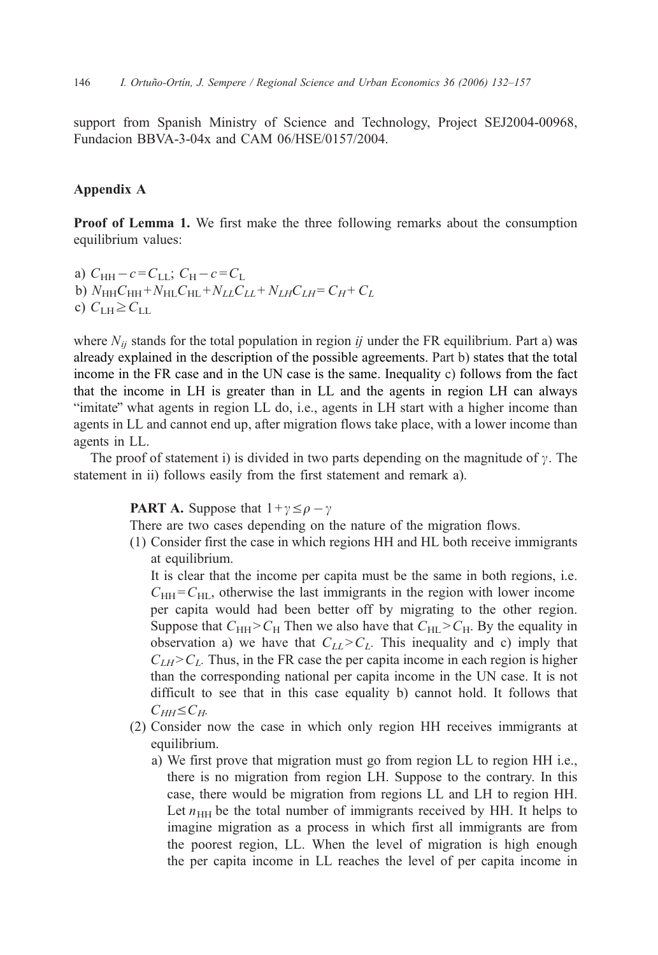support from Spanish Ministry of Science and Technology, Project SEJ2004-00968, Fundacion BBVA-3-04x and CAM 06/HSE/0157/2004.

## Appendix A

**Proof of Lemma 1.** We first make the three following remarks about the consumption equilibrium values:

a)  $C_{HH} - c = C_{LL}$ ;  $C_H - c = C_L$ b)  $N_{\text{HH}}C_{\text{HH}}+N_{\text{HL}}C_{\text{HL}}+N_{LL}C_{LL}+N_{LH}C_{LH} = C_{H} + C_{L}$ c)  $C_{\text{LH}} \geq C_{\text{LL}}$ 

where  $N_{ij}$  stands for the total population in region  $ij$  under the FR equilibrium. Part a) was already explained in the description of the possible agreements. Part b) states that the total income in the FR case and in the UN case is the same. Inequality c) follows from the fact that the income in LH is greater than in LL and the agents in region LH can always "imitate" what agents in region LL do, i.e., agents in LH start with a higher income than agents in LL and cannot end up, after migration flows take place, with a lower income than agents in LL.

The proof of statement i) is divided in two parts depending on the magnitude of  $\gamma$ . The statement in ii) follows easily from the first statement and remark a).

**PART A.** Suppose that  $1 + \gamma \le \rho - \gamma$ 

There are two cases depending on the nature of the migration flows.

(1) Consider first the case in which regions HH and HL both receive immigrants at equilibrium.

It is clear that the income per capita must be the same in both regions, i.e.  $C_{HH} = C_{HL}$ , otherwise the last immigrants in the region with lower income per capita would had been better off by migrating to the other region. Suppose that  $C_{HH} > C_{H}$  Then we also have that  $C_{HL} > C_{H}$ . By the equality in observation a) we have that  $C_{LL} > C_L$ . This inequality and c) imply that  $C_{LH}$   $\geq$   $C_L$ . Thus, in the FR case the per capita income in each region is higher than the corresponding national per capita income in the UN case. It is not difficult to see that in this case equality b) cannot hold. It follows that  $C_{HH} \leq C_{H}$ 

- (2) Consider now the case in which only region HH receives immigrants at equilibrium.
	- a) We first prove that migration must go from region LL to region HH i.e., there is no migration from region LH. Suppose to the contrary. In this case, there would be migration from regions LL and LH to region HH. Let  $n<sub>HH</sub>$  be the total number of immigrants received by HH. It helps to imagine migration as a process in which first all immigrants are from the poorest region, LL. When the level of migration is high enough the per capita income in LL reaches the level of per capita income in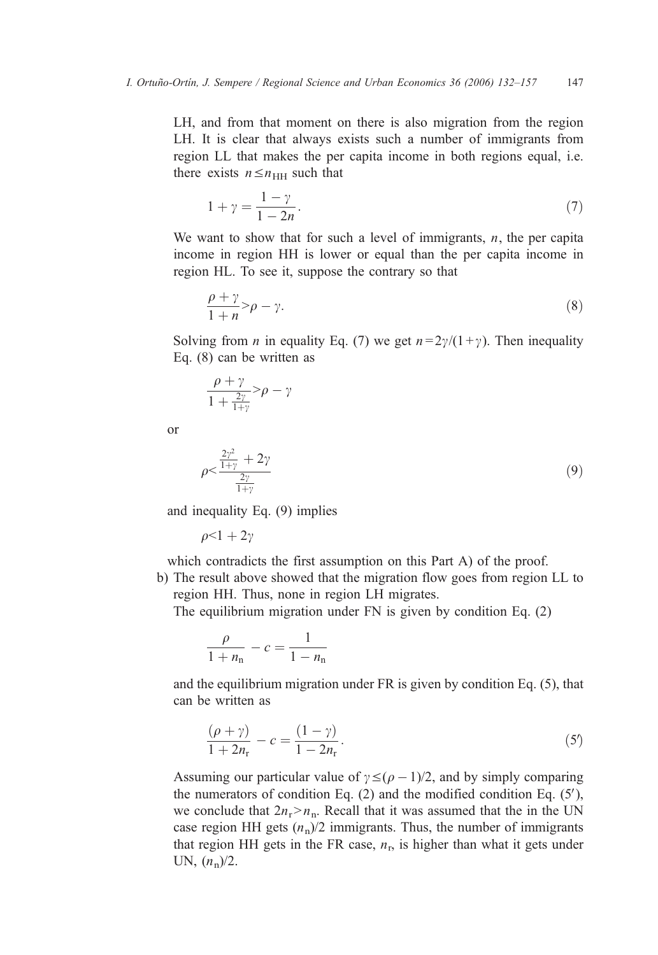LH, and from that moment on there is also migration from the region LH. It is clear that always exists such a number of immigrants from region LL that makes the per capita income in both regions equal, i.e. there exists  $n \leq n<sub>HH</sub>$  such that

$$
1 + \gamma = \frac{1 - \gamma}{1 - 2n}.\tag{7}
$$

We want to show that for such a level of immigrants,  $n$ , the per capita income in region HH is lower or equal than the per capita income in region HL. To see it, suppose the contrary so that

$$
\frac{\rho + \gamma}{1 + n} > \rho - \gamma.
$$
 (8)

Solving from *n* in equality Eq. (7) we get  $n = 2\gamma/(1 + \gamma)$ . Then inequality Eq. (8) can be written as

$$
\frac{\rho + \gamma}{1 + \frac{2\gamma}{1 + \gamma}} > \rho - \gamma
$$

or

$$
\rho \le \frac{\frac{2\gamma^2}{1+\gamma} + 2\gamma}{\frac{2\gamma}{1+\gamma}}
$$
\n
$$
\tag{9}
$$

and inequality Eq. (9) implies

 $\rho<1+2\gamma$ 

which contradicts the first assumption on this Part A) of the proof.

b) The result above showed that the migration flow goes from region LL to region HH. Thus, none in region LH migrates.

The equilibrium migration under FN is given by condition Eq. (2)

$$
\frac{\rho}{1+n_{\rm n}}-c=\frac{1}{1-n_{\rm n}}
$$

and the equilibrium migration under FR is given by condition Eq. (5), that can be written as

$$
\frac{(\rho + \gamma)}{1 + 2n_{\rm r}} - c = \frac{(1 - \gamma)}{1 - 2n_{\rm r}}.\tag{5}
$$

Assuming our particular value of  $\gamma \leq (\rho - 1)/2$ , and by simply comparing the numerators of condition Eq.  $(2)$  and the modified condition Eq.  $(5)$ , we conclude that  $2n_r > n_n$ . Recall that it was assumed that the in the UN case region HH gets  $(n_n)/2$  immigrants. Thus, the number of immigrants that region HH gets in the FR case,  $n<sub>p</sub>$  is higher than what it gets under UN,  $(n_n)/2$ .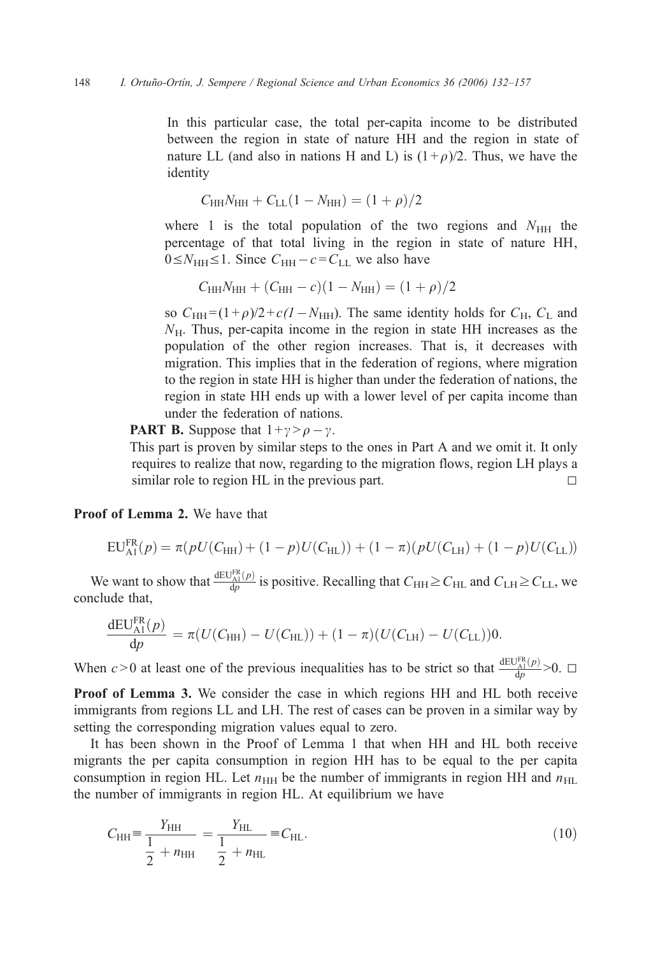In this particular case, the total per-capita income to be distributed between the region in state of nature HH and the region in state of nature LL (and also in nations H and L) is  $(1+\rho)/2$ . Thus, we have the identity

$$
C_{\rm HH}N_{\rm HH} + C_{\rm LL}(1 - N_{\rm HH}) = (1 + \rho)/2
$$

where 1 is the total population of the two regions and  $N<sub>HH</sub>$  the percentage of that total living in the region in state of nature HH,  $0 \leq N_{\text{HH}} \leq 1$ . Since  $C_{\text{HH}} - c = C_{\text{LL}}$  we also have

$$
C_{HH}N_{HH} + (C_{HH} - c)(1 - N_{HH}) = (1 + \rho)/2
$$

so  $C_{\text{HH}} = (1 + \rho)/2 + c(1-N_{\text{HH}})$ . The same identity holds for  $C_{\text{H}}$ ,  $C_{\text{L}}$  and  $N_{\rm H}$ . Thus, per-capita income in the region in state HH increases as the population of the other region increases. That is, it decreases with migration. This implies that in the federation of regions, where migration to the region in state HH is higher than under the federation of nations, the region in state HH ends up with a lower level of per capita income than under the federation of nations.

**PART B.** Suppose that  $1 + \gamma > \rho - \gamma$ .

This part is proven by similar steps to the ones in Part A and we omit it. It only requires to realize that now, regarding to the migration flows, region LH plays a similar role to region HL in the previous part.  $\Box$ 

Proof of Lemma 2. We have that

$$
EU_{A1}^{FR}(p) = \pi(pU(C_{HH}) + (1 - p)U(C_{HL})) + (1 - \pi)(pU(C_{LH}) + (1 - p)U(C_{LL}))
$$

We want to show that  $\frac{dE U_{\text{Al}}^{\text{ER}}(p)}{dp}$  is positive. Recalling that  $C_{\text{HH}} \ge C_{\text{HL}}$  and  $C_{\text{L}} \ge C_{\text{LL}}$ , we conclude that,

$$
\frac{\mathrm{d} \mathrm{E} \mathrm{U}_{\mathrm{Al}}^{\mathrm{FR}}(p)}{\mathrm{d} p} = \pi (U(C_{\mathrm{HH}}) - U(C_{\mathrm{HL}})) + (1 - \pi)(U(C_{\mathrm{LH}}) - U(C_{\mathrm{LL}}))0.
$$

When  $c > 0$  at least one of the previous inequalities has to be strict so that  $\frac{dE U_{A1}^{FR}(p)}{dp} > 0$ .  $\Box$ 

**Proof of Lemma 3.** We consider the case in which regions HH and HL both receive immigrants from regions LL and LH. The rest of cases can be proven in a similar way by setting the corresponding migration values equal to zero.

It has been shown in the Proof of Lemma 1 that when HH and HL both receive migrants the per capita consumption in region HH has to be equal to the per capita consumption in region HL. Let  $n_{\text{HH}}$  be the number of immigrants in region HH and  $n_{\text{HL}}$ the number of immigrants in region HL. At equilibrium we have

$$
C_{HH} = \frac{Y_{HH}}{1} = \frac{Y_{HL}}{1} = C_{HL}.
$$
\n(10)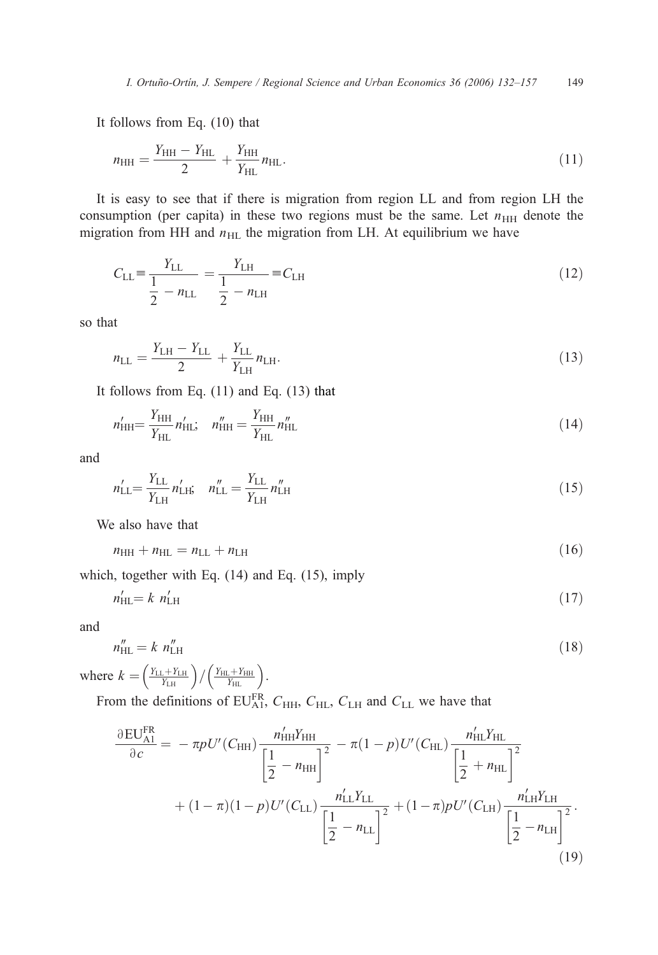It follows from Eq. (10) that

$$
n_{\rm HH} = \frac{Y_{\rm HH} - Y_{\rm HL}}{2} + \frac{Y_{\rm HH}}{Y_{\rm HL}} n_{\rm HL}.
$$
\n(11)

It is easy to see that if there is migration from region LL and from region LH the consumption (per capita) in these two regions must be the same. Let  $n<sub>HH</sub>$  denote the migration from HH and  $n_{\text{HL}}$  the migration from LH. At equilibrium we have

$$
C_{\text{LL}} = \frac{Y_{\text{LL}}}{\frac{1}{2} - n_{\text{LL}}} = \frac{Y_{\text{LH}}}{\frac{1}{2} - n_{\text{LH}}} = C_{\text{LH}}
$$
(12)

so that

$$
n_{\rm LL} = \frac{Y_{\rm LH} - Y_{\rm LL}}{2} + \frac{Y_{\rm LL}}{Y_{\rm LH}} n_{\rm LH}.
$$
\n(13)

It follows from Eq. (11) and Eq. (13) that

$$
n'_{\rm HH} = \frac{Y_{\rm HH}}{Y_{\rm HL}} n'_{\rm HL}; \quad n''_{\rm HH} = \frac{Y_{\rm HH}}{Y_{\rm HL}} n''_{\rm HL}
$$
\n(14)

and

$$
n'_{\text{LL}} = \frac{Y_{\text{LL}}}{Y_{\text{LH}}} n'_{\text{LH}}; \quad n''_{\text{LL}} = \frac{Y_{\text{LL}}}{Y_{\text{LH}}} n''_{\text{LH}} \tag{15}
$$

We also have that

$$
n_{\rm HH} + n_{\rm HL} = n_{\rm LL} + n_{\rm LH} \tag{16}
$$

which, together with Eq. (14) and Eq. (15), imply

$$
n'_{\rm HL} = k \ n'_{\rm LH} \tag{17}
$$

and

$$
n''_{\text{HL}} = k n''_{\text{LH}} \tag{18}
$$

where  $k = \left(\frac{Y_{\text{LL}} + Y_{\text{LH}}}{Y_{\text{LH}}}\right) / \left(\frac{Y_{\text{HL}} + Y_{\text{HH}}}{Y_{\text{HL}}}\right)$ .

From the definitions of EU<sub>A1</sub>,  $C_{HH}$ ,  $C_{HL}$ ,  $C_{LH}$  and  $C_{LL}$  we have that

$$
\frac{\partial EU_{\text{Al}}^{\text{FR}}}{\partial c} = -\pi p U'(C_{\text{HH}}) \frac{n'_{\text{HH}} Y_{\text{HH}}}{\left[\frac{1}{2} - n_{\text{HH}}\right]^2} - \pi (1 - p) U'(C_{\text{HL}}) \frac{n'_{\text{HL}} Y_{\text{HL}}}{\left[\frac{1}{2} + n_{\text{HL}}\right]^2} + (1 - \pi)(1 - p) U'(C_{\text{LL}}) \frac{n'_{\text{LL}} Y_{\text{LL}}}{\left[\frac{1}{2} - n_{\text{LL}}\right]^2} + (1 - \pi) p U'(C_{\text{LH}}) \frac{n'_{\text{LH}} Y_{\text{LH}}}{\left[\frac{1}{2} - n_{\text{LH}}\right]^2}.
$$
\n(19)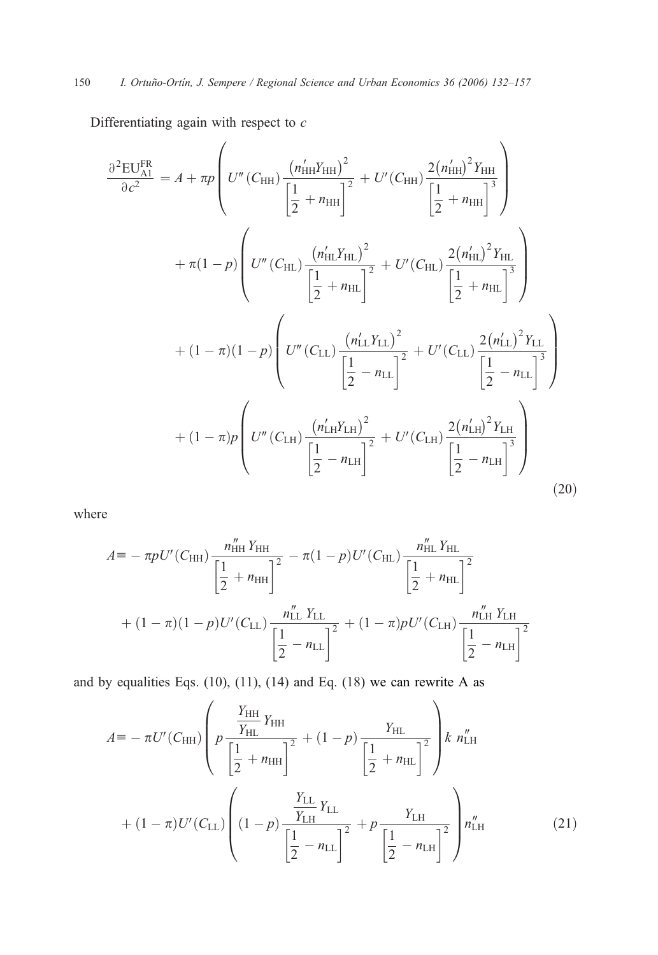Differentiating again with respect to  $c$ 

$$
\frac{\partial^2 EU_{\text{Al}}^{\text{FR}}}{\partial c^2} = A + \pi p \left( U'' \left( C_{\text{HH}} \right) \frac{\left( n_{\text{HH}}^{\prime} Y_{\text{HH}} \right)^2}{\left[ \frac{1}{2} + n_{\text{HH}} \right]^2} + U' \left( C_{\text{HH}} \right) \frac{2 \left( n_{\text{HH}}^{\prime} \right)^2 Y_{\text{HH}}}{\left[ \frac{1}{2} + n_{\text{HH}} \right]^3} \right) + \pi (1 - p) \left( U'' \left( C_{\text{HL}} \right) \frac{\left( n_{\text{HL}}^{\prime} Y_{\text{HL}} \right)^2}{\left[ \frac{1}{2} + n_{\text{HL}} \right]^2} + U' \left( C_{\text{HL}} \right) \frac{2 \left( n_{\text{HL}}^{\prime} \right)^2 Y_{\text{HL}}}{\left[ \frac{1}{2} + n_{\text{HL}} \right]^3} \right) + (1 - \pi)(1 - p) \left( U'' \left( C_{\text{LL}} \right) \frac{\left( n_{\text{LL}}^{\prime} Y_{\text{LL}} \right)^2}{\left[ \frac{1}{2} - n_{\text{LL}} \right]^2} + U' \left( C_{\text{LL}} \right) \frac{2 \left( n_{\text{LL}}^{\prime} \right)^2 Y_{\text{LL}}}{\left[ \frac{1}{2} - n_{\text{LL}} \right]^3} \right) + (1 - \pi) p \left( U'' \left( C_{\text{LL}} \right) \frac{\left( n_{\text{LH}}^{\prime} Y_{\text{LL}} \right)^2}{\left[ \frac{1}{2} - n_{\text{LL}} \right]^2} + U' \left( C_{\text{LH}} \right) \frac{2 \left( n_{\text{LH}}^{\prime} \right)^2 Y_{\text{LH}}}{\left[ \frac{1}{2} - n_{\text{LH}} \right]^3} \right) \tag{20}
$$

where

$$
A = -\pi pU'(C_{\text{HH}}) \frac{n_{\text{HH}}'' Y_{\text{HH}}}{\left[\frac{1}{2} + n_{\text{HH}}\right]^2} - \pi (1 - p)U'(C_{\text{HL}}) \frac{n_{\text{HL}}'' Y_{\text{HL}}}{\left[\frac{1}{2} + n_{\text{HL}}\right]^2} + (1 - \pi)(1 - p)U'(C_{\text{LL}}) \frac{n_{\text{LL}}'' Y_{\text{LL}}}{\left[\frac{1}{2} - n_{\text{LL}}\right]^2} + (1 - \pi)pU'(C_{\text{LH}}) \frac{n_{\text{LH}}'' Y_{\text{LH}}}{\left[\frac{1}{2} - n_{\text{LH}}\right]^2}
$$

and by equalities Eqs.  $(10)$ ,  $(11)$ ,  $(14)$  and Eq.  $(18)$  we can rewrite A as

$$
A = -\pi U'(C_{\text{HH}}) \left( p \frac{Y_{\text{HH}}}{\left[\frac{1}{2} + n_{\text{HH}}\right]^2} + (1 - p) \frac{Y_{\text{HL}}}{\left[\frac{1}{2} + n_{\text{HL}}\right]^2} \right) k n''_{\text{LH}}
$$

$$
+ (1 - \pi) U'(C_{\text{LL}}) \left( (1 - p) \frac{Y_{\text{LL}}}{Y_{\text{LH}}} Y_{\text{LL}}}{\left[\frac{1}{2} - n_{\text{LL}}\right]^2} + p \frac{Y_{\text{LH}}}{\left[\frac{1}{2} - n_{\text{LH}}\right]^2} \right) n''_{\text{LH}}
$$
(21)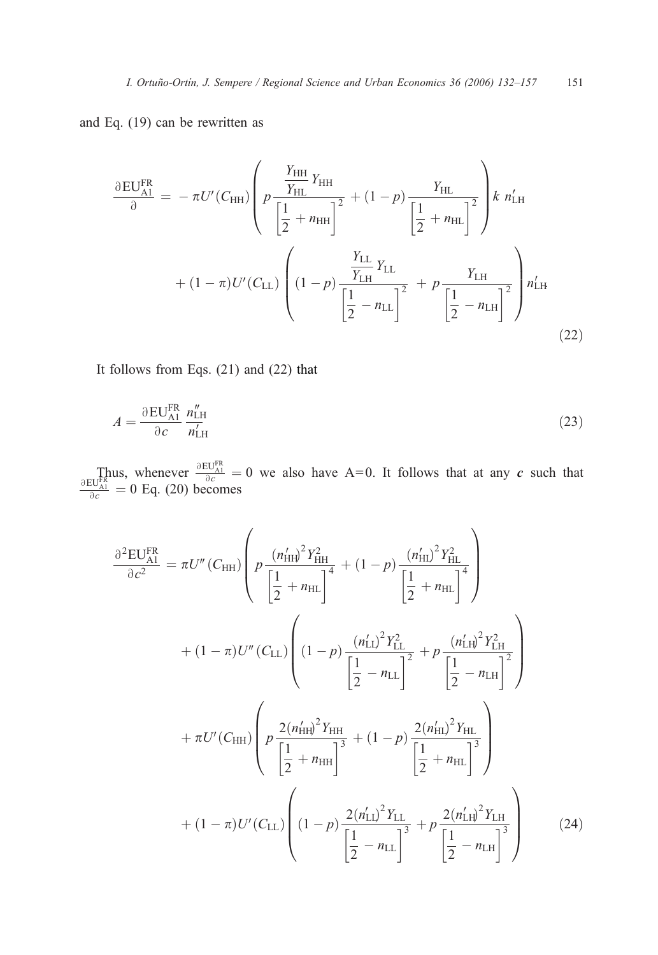and Eq. (19) can be rewritten as

$$
\frac{\partial EU_{\text{Al}}^{\text{FR}}}{\partial} = -\pi U'(C_{\text{HH}}) \left( p \frac{Y_{\text{HH}}}{\left[\frac{1}{2} + n_{\text{HH}}\right]^2} + (1 - p) \frac{Y_{\text{HL}}}{\left[\frac{1}{2} + n_{\text{HL}}\right]^2} \right) k n'_{\text{LH}}
$$

$$
+ (1 - \pi) U'(C_{\text{LL}}) \left( (1 - p) \frac{Y_{\text{LL}}}{\left[\frac{1}{2} - n_{\text{LL}}\right]^2} + p \frac{Y_{\text{LH}}}{\left[\frac{1}{2} - n_{\text{LH}}\right]^2} \right) n'_{\text{LH}}
$$
(22)

It follows from Eqs. (21) and (22) that

$$
A = \frac{\partial \text{EU}_{\text{Al}}^{\text{FR}}}{\partial c} \frac{n_{\text{LH}}^{\prime\prime}}{n_{\text{LH}}^{\prime}} \tag{23}
$$

Thus, whenever  $\frac{\partial EU_{A1}^{ER}}{\partial c} = 0$  we also have A=0. It follows that at any c such that  $\frac{\partial EU_{A1}^{ER}}{\partial c} = 0$  Eq. (20) becomes

$$
\frac{\partial^2 EU_{\text{AI}}^{\text{FR}}}{\partial c^2} = \pi U'' \left( C_{\text{HH}} \right) \left( p \frac{\left( n_{\text{HH}}' \right)^2 Y_{\text{HH}}^2}{\left[ \frac{1}{2} + n_{\text{HL}} \right]^4} + (1 - p) \frac{\left( n_{\text{HI}}' \right)^2 Y_{\text{HL}}^2}{\left[ \frac{1}{2} + n_{\text{HL}} \right]^4} \right)
$$
  
+ 
$$
(1 - \pi) U'' \left( C_{\text{LL}} \right) \left( (1 - p) \frac{\left( n_{\text{LI}}' \right)^2 Y_{\text{LL}}^2}{\left[ \frac{1}{2} - n_{\text{LL}} \right]^2} + p \frac{\left( n_{\text{LH}}' \right)^2 Y_{\text{LH}}^2}{\left[ \frac{1}{2} - n_{\text{LH}} \right]^2} \right)
$$

$$
+ \pi U'' \left( C_{\text{HH}} \right) \left( p \frac{2 \left( n_{\text{HH}}' \right)^2 Y_{\text{HH}}}{\left[ \frac{1}{2} + n_{\text{HH}} \right]^3} + (1 - p) \frac{2 \left( n_{\text{HH}}' \right)^2 Y_{\text{HL}}}{\left[ \frac{1}{2} + n_{\text{HL}} \right]^3} \right)
$$

$$
+ (1 - \pi) U'' \left( C_{\text{LL}} \right) \left( (1 - p) \frac{2 \left( n_{\text{LI}}' \right)^2 Y_{\text{LL}}}{\left[ \frac{1}{2} - n_{\text{LL}} \right]^3} + p \frac{2 \left( n_{\text{LH}}' \right)^2 Y_{\text{LH}}}{\left[ \frac{1}{2} - n_{\text{LH}} \right]^3} \right) \tag{24}
$$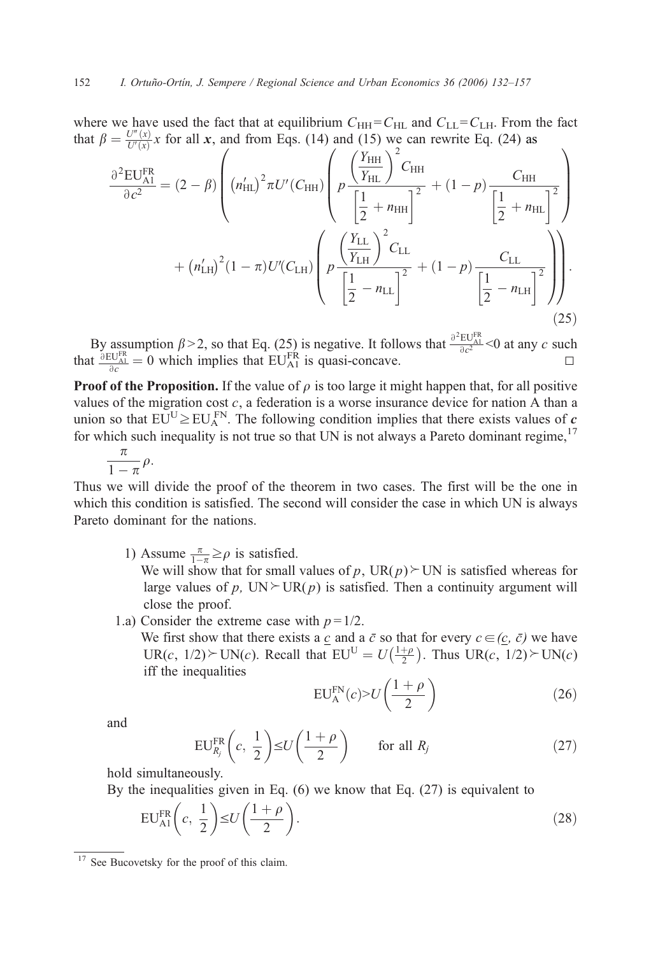where we have used the fact that at equilibrium  $C_{HH} = C_{HL}$  and  $C_{LL} = C_{LH}$ . From the fact  $\sqrt{2}$ 

that 
$$
\beta = \frac{U''(x)}{U'(x)} x
$$
 for all x, and from Eqs. (14) and (15) we can rewrite Eq. (24) as  
\n
$$
\frac{\partial^2 EU_{\text{Al}}^{\text{FR}}}{\partial c^2} = (2 - \beta) \left( (n'_{\text{HL}})^2 \pi U'(C_{\text{HH}}) \left( p \frac{\left( \frac{Y_{\text{HH}}}{Y_{\text{HL}}}\right)^2 C_{\text{HH}}}{\left[ \frac{1}{2} + n_{\text{HH}} \right]^2} + (1 - p) \frac{C_{\text{HH}}}{\left[ \frac{1}{2} + n_{\text{HL}} \right]^2} \right) + (n'_{\text{LH}})^2 (1 - \pi) U'(C_{\text{LH}}) \left( p \frac{\left( \frac{Y_{\text{LL}}}{Y_{\text{LH}}}\right)^2 C_{\text{LL}}}{\left[ \frac{1}{2} - n_{\text{LL}} \right]^2} + (1 - p) \frac{C_{\text{LL}}}{\left[ \frac{1}{2} - n_{\text{LH}} \right]^2} \right) \right). \tag{25}
$$

By assumption  $\beta > 2$ , so that Eq. (25) is negative. It follows that  $\frac{\partial^2 EU^{FR}}{\partial c^2} < 0$  at any c such that  $\frac{\delta EU_{\text{Al}}^{\text{FR}}}{\delta c} = 0$  which implies that  $EU_{\text{Al}}^{\text{FR}}$  is quasi-concave.

**Proof of the Proposition.** If the value of  $\rho$  is too large it might happen that, for all positive values of the migration cost  $c$ , a federation is a worse insurance device for nation A than a union so that  $EU^U \ge EU_A^{FN}$ . The following condition implies that there exists values of c for which such inequality is not true so that UN is not always a Pareto dominant regime, $17$ 

$$
\frac{\pi}{1-\pi}\rho.
$$

Thus we will divide the proof of the theorem in two cases. The first will be the one in which this condition is satisfied. The second will consider the case in which UN is always Pareto dominant for the nations.

1) Assume  $\frac{\pi}{1-\pi} \ge \rho$  is satisfied.

We will show that for small values of p,  $UR(p) \geq UN$  is satisfied whereas for large values of p,  $UN \succeq UR(p)$  is satisfied. Then a continuity argument will close the proof.

1.a) Consider the extreme case with  $p = 1/2$ .

We first show that there exists a  $\underline{c}$  and a  $\overline{c}$  so that for every  $c \in (\underline{c}, \overline{c})$  we have UR(c, 1/2) UN(c). Recall that  $EU^U = U(\frac{1+\rho}{2})$ . Thus UR(c, 1/2) UN(c) iff the inequalities

$$
EU_A^{FN}(c) > U\left(\frac{1+\rho}{2}\right) \tag{26}
$$

and

$$
EU_{R_j}^{FR}\left(c, \frac{1}{2}\right) \le U\left(\frac{1+\rho}{2}\right) \qquad \text{for all } R_j \tag{27}
$$

hold simultaneously.

By the inequalities given in Eq. (6) we know that Eq. (27) is equivalent to

$$
EU_{A1}^{FR}\left(c, \frac{1}{2}\right) \leq U\left(\frac{1+\rho}{2}\right). \tag{28}
$$

<sup>&</sup>lt;sup>17</sup> See Bucovetsky for the proof of this claim.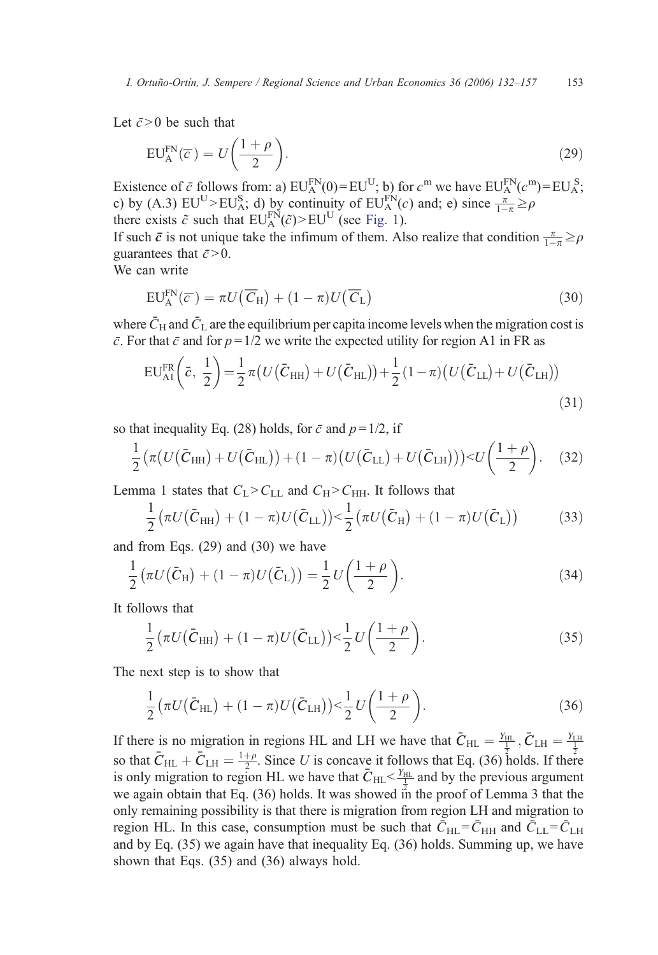Let  $\bar{c}$  > 0 be such that

$$
EU_A^{FN}(\overline{c}) = U\left(\frac{1+\rho}{2}\right). \tag{29}
$$

Existence of  $\bar{c}$  follows from: a)  $EU_A^{FN}(0) = EU^U$ ; b) for  $c^m$  we have  $EU_A^{FN}(c^m) = EU_A^S$ ; c) by (A.3)  $EU^U > EU^S$ ; d) by continuity of  $EU^{\text{FN}}_A(c)$  and; e) since  $\frac{\pi}{1-\pi} \ge \rho$ there exists  $\tilde{c}$  such that  $EU_A^{\r{FN}}(\tilde{c}) \r{=} EU^U$  (see [Fig. 1\)](#page-10-0).

If such  $\bar{c}$  is not unique take the infimum of them. Also realize that condition  $\frac{\pi}{1-\pi} \ge \rho$ guarantees that  $\bar{c} > 0$ .

We can write

$$
EU_A^{FN}(\overline{c}) = \pi U(\overline{C}_H) + (1 - \pi)U(\overline{C}_L)
$$
\n(30)

where  $\bar{C}_{\rm H}$  and  $\bar{C}_{\rm L}$  are the equilibrium per capita income levels when the migration cost is  $\bar{c}$ . For that  $\bar{c}$  and for  $p = 1/2$  we write the expected utility for region A1 in FR as

$$
EU_{\text{Al}}^{\text{FR}}\left(\bar{c},\ \frac{1}{2}\right) = \frac{1}{2}\pi\big(U(\bar{C}_{\text{HH}}) + U(\bar{C}_{\text{HL}})\big) + \frac{1}{2}(1-\pi)\big(U(\bar{C}_{\text{LL}}) + U(\bar{C}_{\text{LH}})\big) \tag{31}
$$

so that inequality Eq. (28) holds, for  $\bar{c}$  and  $p = 1/2$ , if

$$
\frac{1}{2} \left( \pi \left( U(\bar{C}_{HH}) + U(\bar{C}_{HL}) \right) + (1 - \pi) \left( U(\bar{C}_{LL}) + U(\bar{C}_{LH}) \right) \right) < U \left( \frac{1 + \rho}{2} \right). \tag{32}
$$

Lemma 1 states that  $C_L > C_{LL}$  and  $C_H > C_{HH}$ . It follows that

$$
\frac{1}{2} \left( \pi U (\bar{C}_{HH}) + (1 - \pi) U (\bar{C}_{LL}) \right) < \frac{1}{2} \left( \pi U (\bar{C}_{H}) + (1 - \pi) U (\bar{C}_{L}) \right)
$$
(33)

and from Eqs. (29) and (30) we have

$$
\frac{1}{2} \left( \pi U(\bar{C}_{\mathrm{H}}) + (1 - \pi) U(\bar{C}_{\mathrm{L}}) \right) = \frac{1}{2} U\left(\frac{1 + \rho}{2}\right). \tag{34}
$$

It follows that

$$
\frac{1}{2} \left( \pi U (\bar{C}_{HH}) + (1 - \pi) U (\bar{C}_{LL}) \right) < \frac{1}{2} U \left( \frac{1 + \rho}{2} \right).
$$
 (35)

The next step is to show that

$$
\frac{1}{2} \left( \pi U (\bar{C}_{\rm HL}) + (1 - \pi) U (\bar{C}_{\rm LH}) \right) < \frac{1}{2} U \left( \frac{1 + \rho}{2} \right).
$$
 (36)

If there is no migration in regions HL and LH we have that  $\bar{C}_{\text{HL}} = \frac{Y_{\text{HL}}}{1}$ ,  $\bar{C}_{\text{LH}} = \frac{Y_{\text{LH}}}{1}$ so that  $\bar{C}_{\text{HL}} + \bar{C}_{\text{LH}} = \frac{1+\rho}{2}$ . Since U is concave it follows that Eq. (36) holds. If there is only migration to region HL we have that  $\bar{C}_{\rm HL} < \frac{Y_{\rm HL}}{1}$  and by the previous argument we again obtain that Eq. (36) holds. It was showed in the proof of Lemma 3 that the only remaining possibility is that there is migration from region LH and migration to region HL. In this case, consumption must be such that  $\bar{C}_{\text{HL}}=\bar{C}_{\text{HH}}$  and  $\bar{C}_{\text{LL}}=\bar{C}_{\text{LH}}$ and by Eq. (35) we again have that inequality Eq. (36) holds. Summing up, we have shown that Eqs. (35) and (36) always hold.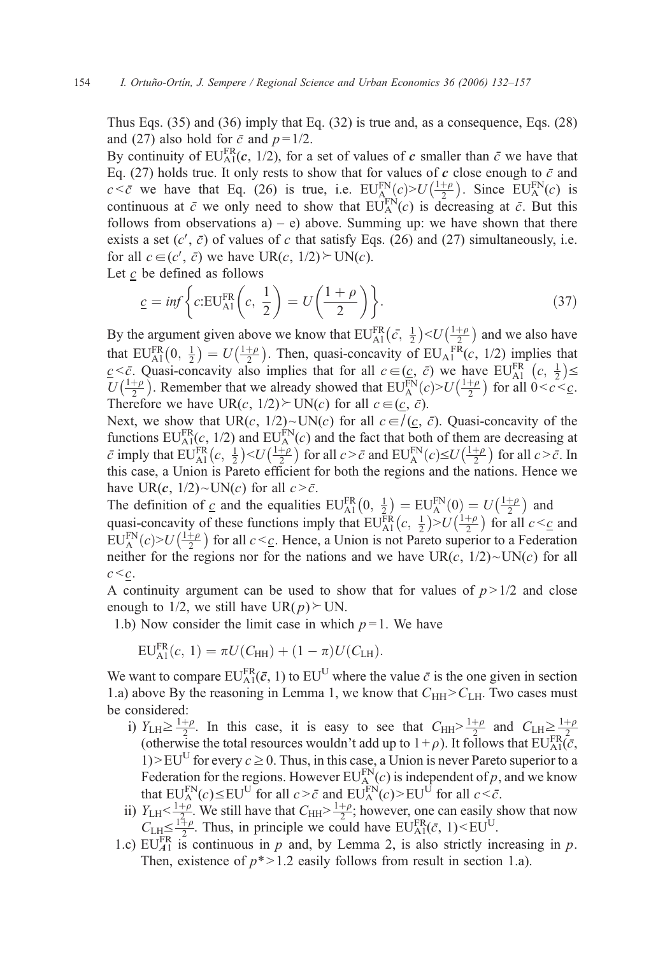Thus Eqs.  $(35)$  and  $(36)$  imply that Eq.  $(32)$  is true and, as a consequence, Eqs.  $(28)$ and (27) also hold for  $\bar{c}$  and  $p = 1/2$ .

By continuity of  $EU_{A1}^{FR}(c, 1/2)$ , for a set of values of c smaller than  $\bar{c}$  we have that Eq. (27) holds true. It only rests to show that for values of c close enough to  $\bar{c}$  and  $c < \bar{c}$  we have that Eq. (26) is true, i.e.  $EU_{A_{\text{max}}}^{\text{EN}}(c) > U(\frac{1+\rho}{2})$ . Since  $EU_A^{\text{EN}}(c)$  is continuous at  $\bar{c}$  we only need to show that  $EU_A^{FN}(c)$  is decreasing at  $\bar{c}$ . But this follows from observations  $a$ ) – e) above. Summing up: we have shown that there exists a set  $(c', \bar{c})$  of values of c that satisfy Eqs. (26) and (27) simultaneously, i.e. for all  $c \in (c', \bar{c})$  we have UR(c,  $1/2$ )  $\geq$  UN(c).

Let  $c$  be defined as follows

$$
\underline{c} = \inf \left\{ c: \text{EU}_{\text{Al}}^{\text{FR}} \left( c, \frac{1}{2} \right) = U \left( \frac{1+\rho}{2} \right) \right\}. \tag{37}
$$

By the argument given above we know that  $EU_{A1}^{FR}(\bar{c}, \frac{1}{2}) < U(\frac{1+\rho}{2})$  and we also have that  $EU_{A1}^{FR}(0, \frac{1}{2}) = U(\frac{1+\rho}{2})$ . Then, quasi-concavity of  $EU_{A1}^{FR}(c, 1/2)$  implies that Let be a concavity also implies that for all  $c \in (\underline{c}, \overline{c})$  we have EU<sub>A1</sub>  $(c, \frac{1}{2}) \leq$  $U(\frac{1+\rho}{2})$ . Remember that we already showed that  $EU_A^{\text{IV}}(c) \geq U(\frac{1+\rho}{2})$  for all  $0 < c < \underline{c}$ . Therefore we have UR(c,  $1/2$ ) UN(c) for all  $c \in (\underline{c}, \overline{c})$ .

Next, we show that  $UR(c, 1/2) \sim UN(c)$  for all  $c \in / (c, \bar{c})$ . Quasi-concavity of the functions  $EU_{A1}^{FR}(c, 1/2)$  and  $EU_{A}^{FN}(c)$  and the fact that both of them are decreasing at EURICALLY AND THE UPPROVE CONTROL INTO THE RESERVANCE CONTROLLED FOR ALL  $\bar{c}$  imply that  $EU_{A1}^{FR}(c, \frac{1}{2}) < U(\frac{1+\rho}{2})$  for all  $c > \bar{c}$  and  $EU_{A1}^{FR}(c) \leq U(\frac{1+\rho}{2})$  for all  $c > \bar{c}$ . In this case, a Union is Pareto efficient for both the regions and the nations. Hence we have UR(c,  $1/2$ ) ~ UN(c) for all  $c > \bar{c}$ .

The definition of <u>c</u> and the equalities  $EU_{A1}^{FR}(0, \frac{1}{2}) = EU_{A}^{FN}(0) = U(\frac{1+\rho}{2})$  and quasi-concavity of these functions imply that  $EU_{A1}^{(1)}(c, \frac{1}{2})$   $>U(\frac{1+\rho}{2})$  for all  $c <_{\mathcal{L}} c$  and  $\text{EU}_{\mathcal{A}}^{\text{FN}}(c) > U(\frac{1+\rho}{2})$  for all  $c < \underline{c}$ . Hence, a Union is not Pareto superior to a Federation neither for the regions nor for the nations and we have  $UR(c, 1/2) \sim UN(c)$  for all  $c < c$ .

A continuity argument can be used to show that for values of  $p > 1/2$  and close enough to 1/2, we still have UR( $p$ )  $\geq$  UN.

1.b) Now consider the limit case in which  $p=1$ . We have

 $EU_{\text{Al}}^{\text{FR}}(c, 1) = \pi U(C_{\text{HH}}) + (1 - \pi)U(C_{\text{LH}}).$ 

We want to compare  $EU_{A1}^{FR}(\bar{c}, 1)$  to  $EU^{U}$  where the value  $\bar{c}$  is the one given in section 1.a) above By the reasoning in Lemma 1, we know that  $C_{HH} > C_{LH}$ . Two cases must be considered:

- i)  $Y_{\text{LH}} \ge \frac{1+\rho}{2}$ . In this case, it is easy to see that  $C_{\text{HH}} > \frac{1+\rho}{2}$  and  $C_{\text{LH}} \ge \frac{1+\rho}{2}$ (otherwise the total resources wouldn't add up to  $1 + \rho$ ). It follows that  $EU_{A1}^{FR}(\bar{c}, \bar{c})$ 1) EU<sup>U</sup> for every  $c \ge 0$ . Thus, in this case, a Union is never Pareto superior to a Federation for the regions. However  $EU_A^{FN}(c)$  is independent of p, and we know that  $EU_A^{FN}(c) \le EU^U$  for all  $c > \bar{c}$  and  $EU_A^{FN}(c) > EU^U$  for all  $c < \bar{c}$ .
- ii)  $Y_{\text{LH}} < \frac{1+\rho}{2}$ . We still have that  $C_{\text{HH}} > \frac{1+\rho}{2}$ ; however, one can easily show that now  $C_{\text{LH}} \leq \frac{1+\rho}{2}$ . Thus, in principle we could have  $\text{EU}_{\text{Al}}^{\text{FR}}(\bar{c}, 1) \leq \text{EU}^{\text{U}}$ .
- 1.c) EU $_{A1}^{FR}$  is continuous in p and, by Lemma 2, is also strictly increasing in p. Then, existence of  $p^*$  > 1.2 easily follows from result in section 1.a).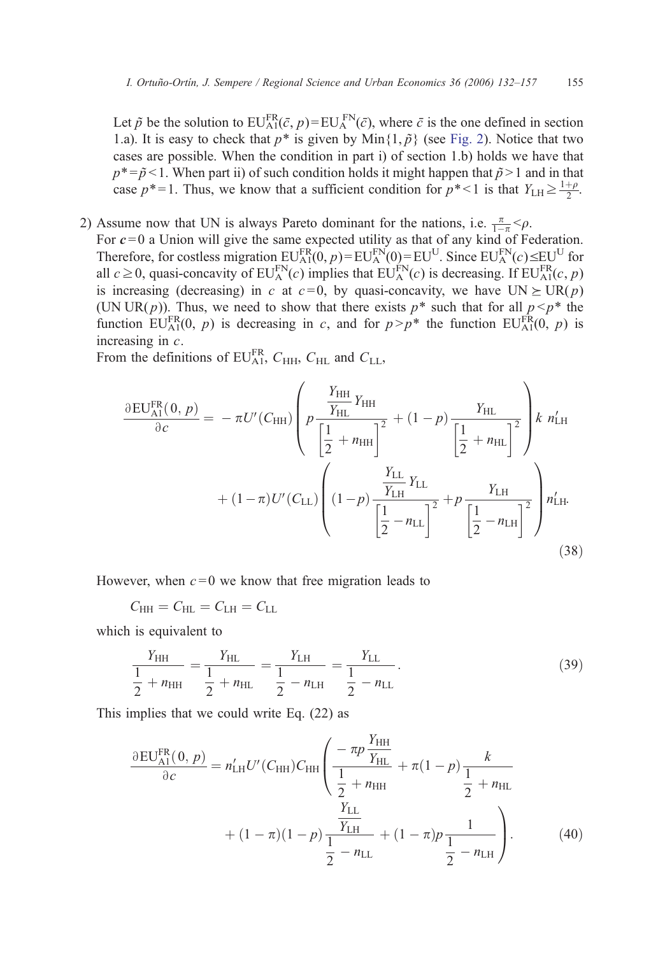Let  $\tilde{p}$  be the solution to  $EU_{A}^{FR}(\bar{c}, p) = EU_{A}^{FN}(\bar{c})$ , where  $\bar{c}$  is the one defined in section 1.a). It is easy to check that  $p^*$  is given by Min $\{1, \tilde{p}\}$  (see [Fig. 2\)](#page-11-0). Notice that two cases are possible. When the condition in part i) of section 1.b) holds we have that  $p^* = \tilde{p}$  < 1. When part ii) of such condition holds it might happen that  $\tilde{p} > 1$  and in that case  $p^*=1$ . Thus, we know that a sufficient condition for  $p^*\leq 1$  is that  $Y_{\text{LH}} \geq \frac{1+\rho}{2}$ .

2) Assume now that UN is always Pareto dominant for the nations, i.e.  $\frac{\pi}{1-\pi} < \rho$ . For  $c = 0$  a Union will give the same expected utility as that of any kind of Federation. Therefore, for costless migration  $EU_{A}^{FR}(0, p) = EU_{A}^{FN}(0) = EU^{U}$ . Since  $EU_{A}^{FN}(c) \leq EU^{U}$  for all  $c \ge 0$ , quasi-concavity of  $EU_A^{FN}(c)$  implies that  $EU_A^{FN}(c)$  is decreasing. If  $EU_{A1}^{FR}(c, p)$ is increasing (decreasing) in c at  $c = 0$ , by quasi-concavity, we have  $UN \succeq UR(p)$ (UN UR(p)). Thus, we need to show that there exists  $p^*$  such that for all  $p \leq p^*$  the function  $EU_{A1}^{FR}(0, p)$  is decreasing in c, and for  $p > p^*$  the function  $EU_{A1}^{FR}(0, p)$  is increasing in c.

From the definitions of  $EU_{A1}^{FR}$ ,  $C_{HH}$ ,  $C_{HL}$  and  $C_{LL}$ ,

$$
\frac{\partial EU_{\text{Al}}^{\text{FR}}(0, p)}{\partial c} = -\pi U'(C_{\text{HH}}) \left( p \frac{\frac{Y_{\text{HH}}}{Y_{\text{HL}}}}{\left[\frac{1}{2} + n_{\text{HH}}\right]^2} + (1 - p) \frac{Y_{\text{HL}}}{\left[\frac{1}{2} + n_{\text{HL}}\right]^2} \right) k n'_{\text{LH}} + (1 - \pi) U'(C_{\text{LL}}) \left( (1 - p) \frac{\frac{Y_{\text{LL}}}{Y_{\text{LH}}}}{\left[\frac{1}{2} - n_{\text{LL}}\right]^2} + p \frac{Y_{\text{LH}}}{\left[\frac{1}{2} - n_{\text{LH}}\right]^2} \right) n'_{\text{LH}} \tag{38}
$$

However, when  $c = 0$  we know that free migration leads to

$$
C_{\rm HH}=C_{\rm HL}=C_{\rm LH}=C_{\rm LL}
$$

which is equivalent to

$$
\frac{Y_{\text{HH}}}{\frac{1}{2} + n_{\text{HH}}} = \frac{Y_{\text{HL}}}{\frac{1}{2} + n_{\text{HL}}} = \frac{Y_{\text{L}}}{\frac{1}{2} - n_{\text{L}}} = \frac{Y_{\text{LL}}}{\frac{1}{2} - n_{\text{LL}}}.
$$
(39)

This implies that we could write Eq. (22) as

$$
\frac{\partial EU_{\text{Al}}^{\text{FR}}(0, p)}{\partial c} = n'_{\text{LH}}U'(C_{\text{HH}})C_{\text{HH}} \left( \frac{-\pi p \frac{Y_{\text{HH}}}{Y_{\text{HL}}}}{\frac{1}{2} + n_{\text{HH}}} + \pi (1 - p) \frac{k}{\frac{1}{2} + n_{\text{HL}}} + (1 - \pi)(1 - p) \frac{\frac{Y_{\text{LL}}}{Y_{\text{LL}}}}{\frac{Y_{\text{LL}}}{2} - n_{\text{LL}}} + (1 - \pi)p \frac{1}{\frac{1}{2} - n_{\text{LH}}} \right). \tag{40}
$$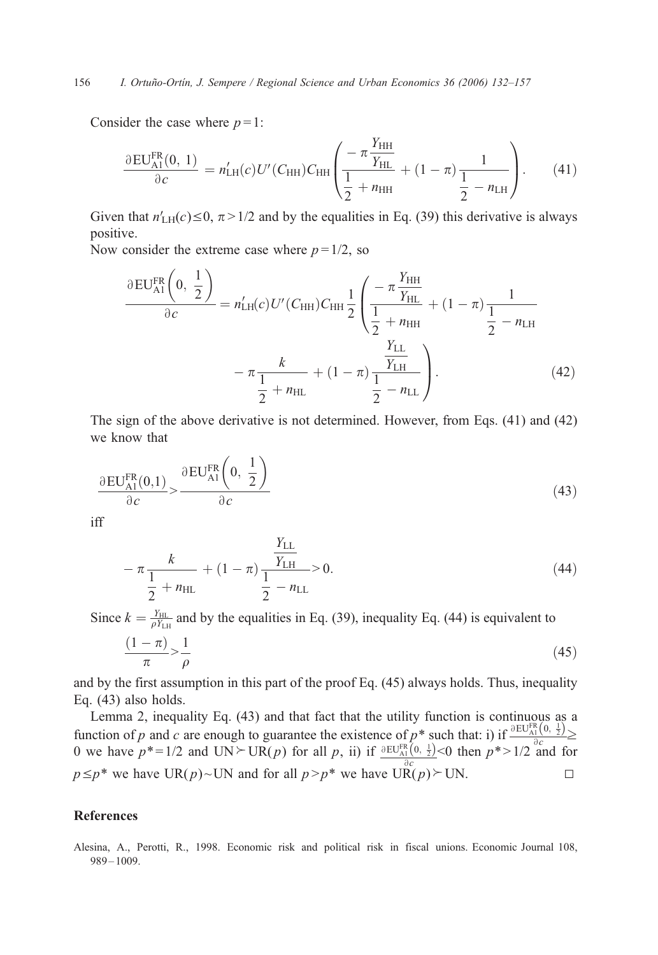<span id="page-24-0"></span>156 I. Ortuño-Ortín, J. Sempere / Regional Science and Urban Economics 36 (2006) 132–157

Consider the case where  $p=1$ :

$$
\frac{\partial EU_{\text{Al}}^{\text{FR}}(0, 1)}{\partial c} = n'_{\text{LH}}(c)U'(C_{\text{HH}})C_{\text{HH}} \left( \frac{-\pi \frac{Y_{\text{HH}}}{Y_{\text{HL}}}}{\frac{1}{2} + n_{\text{HH}}} + (1 - \pi) \frac{1}{\frac{1}{2} - n_{\text{LH}}} \right). \tag{41}
$$

Given that  $n'_{\text{LH}}(c) \le 0$ ,  $\pi > 1/2$  and by the equalities in Eq. (39) this derivative is always positive.

Now consider the extreme case where  $p = 1/2$ , so

$$
\frac{\partial EU_{\text{Al}}^{\text{FR}}\left(0, \frac{1}{2}\right)}{\partial c} = n'_{\text{LH}}(c)U'(C_{\text{HH}})C_{\text{HH}} \frac{1}{2} \left( \frac{-\pi \frac{Y_{\text{HH}}}{Y_{\text{HL}}}}{1 + (1 - \pi) \frac{1}{1 - n_{\text{LH}}}} - \frac{1}{\pi \frac{k}{1 - n_{\text{HH}}} + (1 - \pi) \frac{Y_{\text{LL}}}{1 - n_{\text{LH}}}} - \pi \frac{1}{\frac{1}{2} + n_{\text{HL}}} + (1 - \pi) \frac{Y_{\text{LL}}}{1 - n_{\text{L}}}
$$
\n
$$
(42)
$$

The sign of the above derivative is not determined. However, from Eqs. (41) and (42) we know that

$$
\frac{\partial EU_{\text{Al}}^{\text{FR}}(0,1)}{\partial c} > \frac{\partial EU_{\text{Al}}^{\text{FR}}\left(0, \frac{1}{2}\right)}{\partial c}
$$
\n(43)

iff

$$
-\pi \frac{k}{\frac{1}{2} + n_{\rm HL}} + (1 - \pi) \frac{\frac{Y_{\rm LL}}{Y_{\rm LH}}}{\frac{1}{2} - n_{\rm LL}} > 0.
$$
\n(44)

Since  $k = \frac{Y_{\text{HL}}}{\rho Y_{\text{LH}}}$  and by the equalities in Eq. (39), inequality Eq. (44) is equivalent to  $\frac{(1-\pi)}{\pi}$  >  $\frac{1}{\rho}$  $\frac{1}{\rho}$  (45)

and by the first assumption in this part of the proof Eq. (45) always holds. Thus, inequality Eq. (43) also holds.

Lemma 2, inequality Eq. (43) and that fact that the utility function is continuous as a function of p and c are enough to guarantee the existence of p<sup>\*</sup> such that: i) if  $\frac{\partial \mathrm{EU}^{FR}_{\text{A1}}(0, \frac{1}{2})}{\partial c}$ 0 we have  $p^*=1/2$  and  $UN \rightarrow UR(p)$  for all p, ii) if  $\frac{\partial EU_{\text{Al}}^{\text{ER}}(0, \frac{1}{2})}{\partial c}$  then  $p^*>1/2$  and for  $p \le p^*$  we have UR( p)~UN and for all  $p > p^*$  we have UR( p) >UN.

## References

Alesina, A., Perotti, R., 1998. Economic risk and political risk in fiscal unions. Economic Journal 108, 989 – 1009.